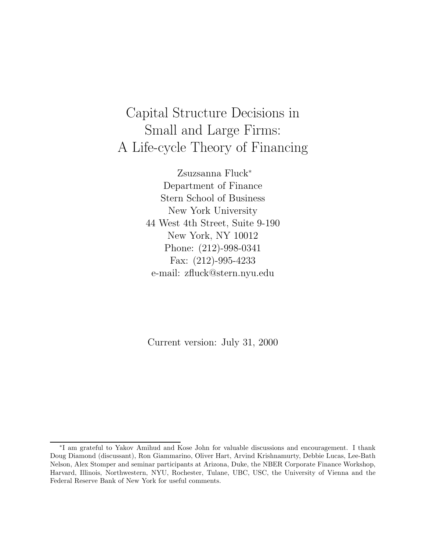# Capital Structure Decisions in Small and Large Firms: A Life-cycle Theory of Financing

Zsuzsanna Fluck ¤ Department of Finance Stern School of Business New York University 44 West 4th Street, Suite 9-190 New York, NY 10012 Phone: (212)-998-0341 Fax: (212)-995-4233 e-mail: zfluck@stern.nyu.edu

Current version: July 31, 2000

<sup>¤</sup> I am grateful to Yakov Amihud and Kose John for valuable discussions and encouragement. I thank Doug Diamond (discussant), Ron Giammarino, Oliver Hart, Arvind Krishnamurty, Debbie Lucas, Lee-Bath Nelson, Alex Stomper and seminar participants at Arizona, Duke, the NBER Corporate Finance Workshop, Harvard, Illinois, Northwestern, NYU, Rochester, Tulane, UBC, USC, the University of Vienna and the Federal Reserve Bank of New York for useful comments.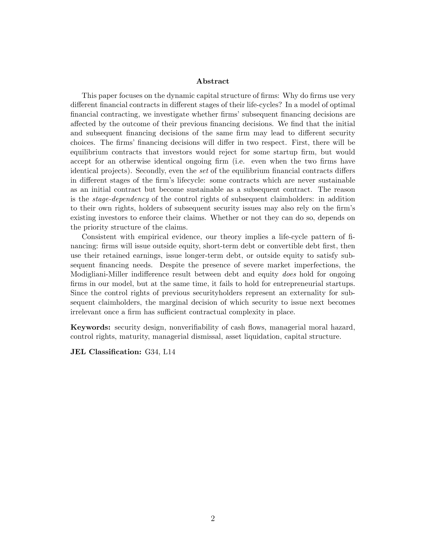### **Abstract**

This paper focuses on the dynamic capital structure of firms: Why do firms use very different financial contracts in different stages of their life-cycles? In a model of optimal financial contracting, we investigate whether firms' subsequent financing decisions are affected by the outcome of their previous financing decisions. We find that the initial and subsequent financing decisions of the same firm may lead to different security choices. The firms' financing decisions will differ in two respect. First, there will be equilibrium contracts that investors would reject for some startup firm, but would accept for an otherwise identical ongoing firm (i.e. even when the two firms have identical projects). Secondly, even the set of the equilibrium financial contracts differs in different stages of the firm's lifecycle: some contracts which are never sustainable as an initial contract but become sustainable as a subsequent contract. The reason is the stage-dependency of the control rights of subsequent claimholders: in addition to their own rights, holders of subsequent security issues may also rely on the firm's existing investors to enforce their claims. Whether or not they can do so, depends on the priority structure of the claims.

Consistent with empirical evidence, our theory implies a life-cycle pattern of financing: firms will issue outside equity, short-term debt or convertible debt first, then use their retained earnings, issue longer-term debt, or outside equity to satisfy subsequent financing needs. Despite the presence of severe market imperfections, the Modigliani-Miller indifference result between debt and equity does hold for ongoing firms in our model, but at the same time, it fails to hold for entrepreneurial startups. Since the control rights of previous securityholders represent an externality for subsequent claimholders, the marginal decision of which security to issue next becomes irrelevant once a firm has sufficient contractual complexity in place.

**Keywords:** security design, nonverifiability of cash flows, managerial moral hazard, control rights, maturity, managerial dismissal, asset liquidation, capital structure.

**JEL Classification:** G34, L14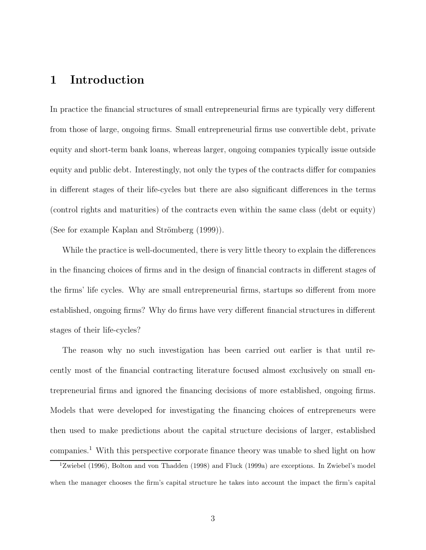# 1 Introduction

In practice the financial structures of small entrepreneurial firms are typically very different from those of large, ongoing firms. Small entrepreneurial firms use convertible debt, private equity and short-term bank loans, whereas larger, ongoing companies typically issue outside equity and public debt. Interestingly, not only the types of the contracts differ for companies in different stages of their life-cycles but there are also significant differences in the terms (control rights and maturities) of the contracts even within the same class (debt or equity) (See for example Kaplan and Strömberg  $(1999)$ ).

While the practice is well-documented, there is very little theory to explain the differences in the financing choices of firms and in the design of financial contracts in different stages of the firms' life cycles. Why are small entrepreneurial firms, startups so different from more established, ongoing firms? Why do firms have very different financial structures in different stages of their life-cycles?

The reason why no such investigation has been carried out earlier is that until recently most of the financial contracting literature focused almost exclusively on small entrepreneurial firms and ignored the financing decisions of more established, ongoing firms. Models that were developed for investigating the financing choices of entrepreneurs were then used to make predictions about the capital structure decisions of larger, established companies.<sup>1</sup> With this perspective corporate finance theory was unable to shed light on how

 $12$ wiebel (1996), Bolton and von Thadden (1998) and Fluck (1999a) are exceptions. In Zwiebel's model when the manager chooses the firm's capital structure he takes into account the impact the firm's capital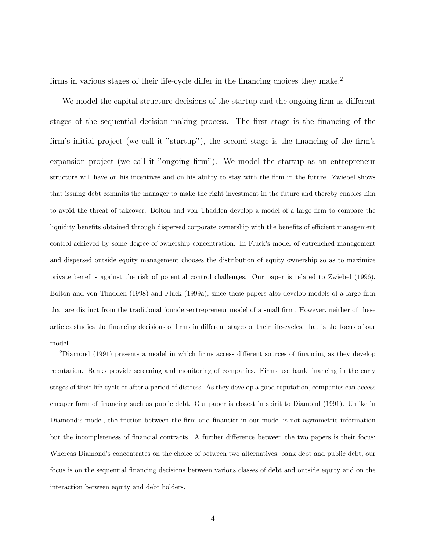firms in various stages of their life-cycle differ in the financing choices they make.<sup>2</sup>

We model the capital structure decisions of the startup and the ongoing firm as different stages of the sequential decision-making process. The first stage is the financing of the firm's initial project (we call it "startup"), the second stage is the financing of the firm's expansion project (we call it "ongoing firm"). We model the startup as an entrepreneur structure will have on his incentives and on his ability to stay with the firm in the future. Zwiebel shows that issuing debt commits the manager to make the right investment in the future and thereby enables him to avoid the threat of takeover. Bolton and von Thadden develop a model of a large firm to compare the liquidity benefits obtained through dispersed corporate ownership with the benefits of efficient management control achieved by some degree of ownership concentration. In Fluck's model of entrenched management and dispersed outside equity management chooses the distribution of equity ownership so as to maximize private benefits against the risk of potential control challenges. Our paper is related to Zwiebel (1996), Bolton and von Thadden (1998) and Fluck (1999a), since these papers also develop models of a large firm that are distinct from the traditional founder-entrepreneur model of a small firm. However, neither of these articles studies the financing decisions of firms in different stages of their life-cycles, that is the focus of our model.

 $2$ Diamond (1991) presents a model in which firms access different sources of financing as they develop reputation. Banks provide screening and monitoring of companies. Firms use bank financing in the early stages of their life-cycle or after a period of distress. As they develop a good reputation, companies can access cheaper form of financing such as public debt. Our paper is closest in spirit to Diamond (1991). Unlike in Diamond's model, the friction between the firm and financier in our model is not asymmetric information but the incompleteness of financial contracts. A further difference between the two papers is their focus: Whereas Diamond's concentrates on the choice of between two alternatives, bank debt and public debt, our focus is on the sequential financing decisions between various classes of debt and outside equity and on the interaction between equity and debt holders.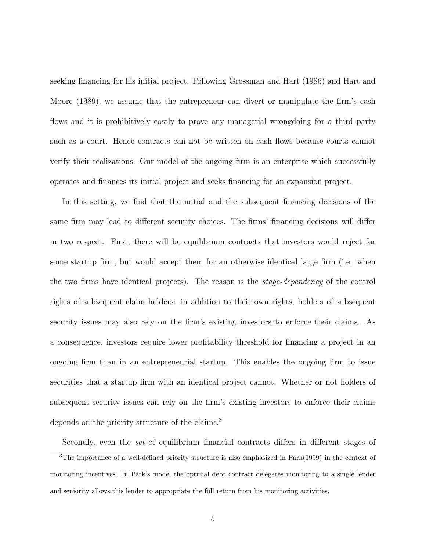seeking financing for his initial project. Following Grossman and Hart (1986) and Hart and Moore (1989), we assume that the entrepreneur can divert or manipulate the firm's cash flows and it is prohibitively costly to prove any managerial wrongdoing for a third party such as a court. Hence contracts can not be written on cash flows because courts cannot verify their realizations. Our model of the ongoing firm is an enterprise which successfully operates and finances its initial project and seeks financing for an expansion project.

In this setting, we find that the initial and the subsequent financing decisions of the same firm may lead to different security choices. The firms' financing decisions will differ in two respect. First, there will be equilibrium contracts that investors would reject for some startup firm, but would accept them for an otherwise identical large firm (i.e. when the two firms have identical projects). The reason is the *stage-dependency* of the control rights of subsequent claim holders: in addition to their own rights, holders of subsequent security issues may also rely on the firm's existing investors to enforce their claims. As a consequence, investors require lower profitability threshold for financing a project in an ongoing firm than in an entrepreneurial startup. This enables the ongoing firm to issue securities that a startup firm with an identical project cannot. Whether or not holders of subsequent security issues can rely on the firm's existing investors to enforce their claims depends on the priority structure of the claims.<sup>3</sup>

Secondly, even the *set* of equilibrium financial contracts differs in different stages of  $3$ The importance of a well-defined priority structure is also emphasized in Park(1999) in the context of monitoring incentives. In Park's model the optimal debt contract delegates monitoring to a single lender and seniority allows this lender to appropriate the full return from his monitoring activities.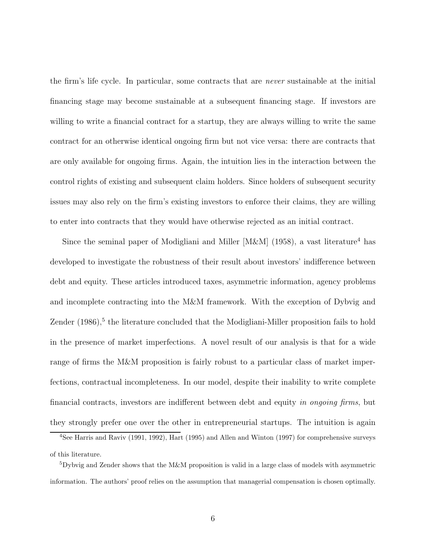the firm's life cycle. In particular, some contracts that are *never* sustainable at the initial ¯nancing stage may become sustainable at a subsequent ¯nancing stage. If investors are willing to write a financial contract for a startup, they are always willing to write the same contract for an otherwise identical ongoing firm but not vice versa: there are contracts that are only available for ongoing firms. Again, the intuition lies in the interaction between the control rights of existing and subsequent claim holders. Since holders of subsequent security issues may also rely on the firm's existing investors to enforce their claims, they are willing to enter into contracts that they would have otherwise rejected as an initial contract.

Since the seminal paper of Modigliani and Miller [M&M] (1958), a vast literature<sup>4</sup> has developed to investigate the robustness of their result about investors' indifference between debt and equity. These articles introduced taxes, asymmetric information, agency problems and incomplete contracting into the M&M framework. With the exception of Dybvig and Zender (1986),<sup>5</sup> the literature concluded that the Modigliani-Miller proposition fails to hold in the presence of market imperfections. A novel result of our analysis is that for a wide range of firms the M&M proposition is fairly robust to a particular class of market imperfections, contractual incompleteness. In our model, despite their inability to write complete financial contracts, investors are indifferent between debt and equity in ongoing firms, but they strongly prefer one over the other in entrepreneurial startups. The intuition is again

<sup>&</sup>lt;sup>4</sup>See Harris and Raviv (1991, 1992), Hart (1995) and Allen and Winton (1997) for comprehensive surveys of this literature.

 $5Dy$ bvig and Zender shows that the M&M proposition is valid in a large class of models with asymmetric information. The authors' proof relies on the assumption that managerial compensation is chosen optimally.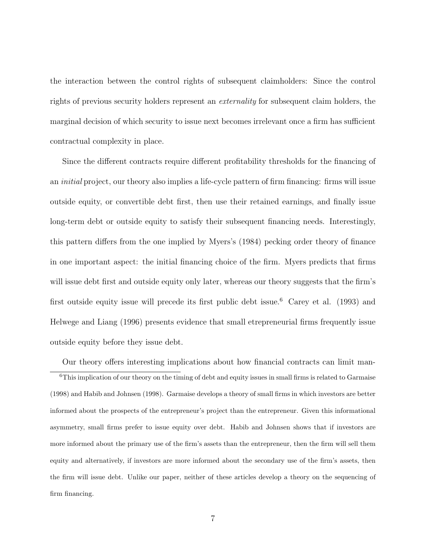the interaction between the control rights of subsequent claimholders: Since the control rights of previous security holders represent an externality for subsequent claim holders, the marginal decision of which security to issue next becomes irrelevant once a firm has sufficient contractual complexity in place.

Since the different contracts require different profitability thresholds for the financing of an *initial* project, our theory also implies a life-cycle pattern of firm financing: firms will issue outside equity, or convertible debt first, then use their retained earnings, and finally issue long-term debt or outside equity to satisfy their subsequent financing needs. Interestingly, this pattern differs from the one implied by Myers's (1984) pecking order theory of finance in one important aspect: the initial financing choice of the firm. Myers predicts that firms will issue debt first and outside equity only later, whereas our theory suggests that the firm's first outside equity issue will precede its first public debt issue.<sup>6</sup> Carey et al. (1993) and Helwege and Liang (1996) presents evidence that small etrepreneurial firms frequently issue outside equity before they issue debt.

Our theory offers interesting implications about how financial contracts can limit man- $6$ This implication of our theory on the timing of debt and equity issues in small firms is related to Garmaise (1998) and Habib and Johnsen (1998). Garmaise develops a theory of small firms in which investors are better informed about the prospects of the entrepreneur's project than the entrepreneur. Given this informational asymmetry, small firms prefer to issue equity over debt. Habib and Johnsen shows that if investors are more informed about the primary use of the firm's assets than the entrepreneur, then the firm will sell them equity and alternatively, if investors are more informed about the secondary use of the firm's assets, then the firm will issue debt. Unlike our paper, neither of these articles develop a theory on the sequencing of firm financing.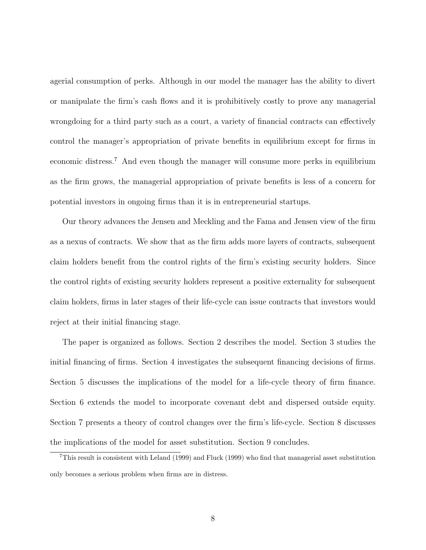agerial consumption of perks. Although in our model the manager has the ability to divert or manipulate the firm's cash flows and it is prohibitively costly to prove any managerial wrongdoing for a third party such as a court, a variety of financial contracts can effectively control the manager's appropriation of private benefits in equilibrium except for firms in economic distress. <sup>7</sup> And even though the manager will consume more perks in equilibrium as the firm grows, the managerial appropriation of private benefits is less of a concern for potential investors in ongoing firms than it is in entrepreneurial startups.

Our theory advances the Jensen and Meckling and the Fama and Jensen view of the firm as a nexus of contracts. We show that as the firm adds more layers of contracts, subsequent claim holders benefit from the control rights of the firm's existing security holders. Since the control rights of existing security holders represent a positive externality for subsequent claim holders, firms in later stages of their life-cycle can issue contracts that investors would reject at their initial financing stage.

The paper is organized as follows. Section 2 describes the model. Section 3 studies the initial financing of firms. Section 4 investigates the subsequent financing decisions of firms. Section 5 discusses the implications of the model for a life-cycle theory of  $\lim$   $\lim$   $\lim$ Section 6 extends the model to incorporate covenant debt and dispersed outside equity. Section 7 presents a theory of control changes over the firm's life-cycle. Section 8 discusses the implications of the model for asset substitution. Section 9 concludes.

 $7$ This result is consistent with Leland (1999) and Fluck (1999) who find that managerial asset substitution only becomes a serious problem when firms are in distress.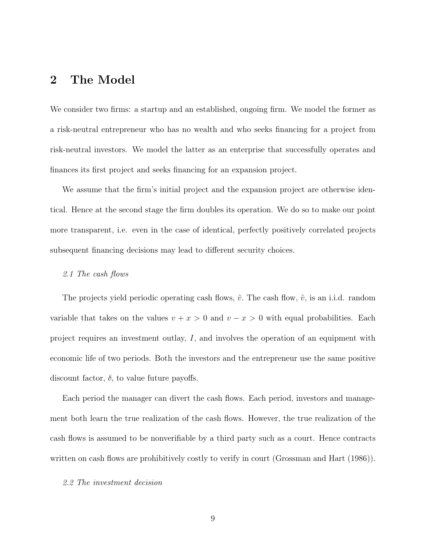# 2 The Model

We consider two firms: a startup and an established, ongoing firm. We model the former as a risk-neutral entrepreneur who has no wealth and who seeks financing for a project from risk-neutral investors. We model the latter as an enterprise that successfully operates and finances its first project and seeks financing for an expansion project.

We assume that the firm's initial project and the expansion project are otherwise identical. Hence at the second stage the firm doubles its operation. We do so to make our point more transparent, i.e. even in the case of identical, perfectly positively correlated projects subsequent financing decisions may lead to different security choices.

#### 2.1 The cash flows

The projects yield periodic operating cash flows,  $\tilde{v}$ . The cash flow,  $\tilde{v}$ , is an i.i.d. random variable that takes on the values  $v + x > 0$  and  $v - x > 0$  with equal probabilities. Each project requires an investment outlay,  $I$ , and involves the operation of an equipment with economic life of two periods. Both the investors and the entrepreneur use the same positive discount factor,  $\delta$ , to value future payoffs.

Each period the manager can divert the cash flows. Each period, investors and management both learn the true realization of the cash flows. However, the true realization of the cash flows is assumed to be nonverifiable by a third party such as a court. Hence contracts written on cash flows are prohibitively costly to verify in court (Grossman and Hart  $(1986)$ ).

### 2.2 The investment decision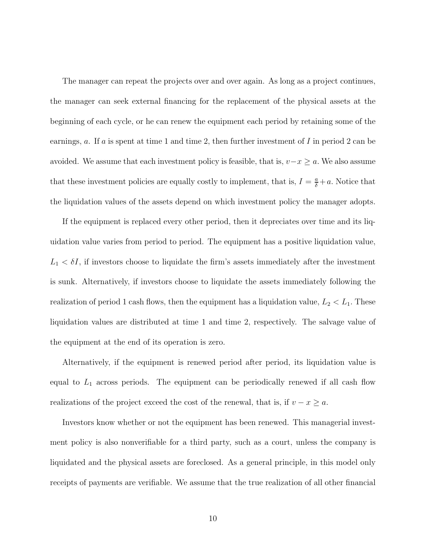The manager can repeat the projects over and over again. As long as a project continues, the manager can seek external financing for the replacement of the physical assets at the beginning of each cycle, or he can renew the equipment each period by retaining some of the earnings,  $a$ . If  $a$  is spent at time 1 and time 2, then further investment of  $I$  in period 2 can be avoided. We assume that each investment policy is feasible, that is,  $v-x \ge a$ . We also assume that these investment policies are equally costly to implement, that is,  $I = \frac{a}{\delta} + a$ . Notice that the liquidation values of the assets depend on which investment policy the manager adopts.

If the equipment is replaced every other period, then it depreciates over time and its liquidation value varies from period to period. The equipment has a positive liquidation value,  $L_1 < \delta I$ , if investors choose to liquidate the firm's assets immediately after the investment is sunk. Alternatively, if investors choose to liquidate the assets immediately following the realization of period 1 cash flows, then the equipment has a liquidation value,  $L_2 < L_1$ . These liquidation values are distributed at time 1 and time 2, respectively. The salvage value of the equipment at the end of its operation is zero.

Alternatively, if the equipment is renewed period after period, its liquidation value is equal to  $L_1$  across periods. The equipment can be periodically renewed if all cash flow realizations of the project exceed the cost of the renewal, that is, if  $v - x \ge a$ .

Investors know whether or not the equipment has been renewed. This managerial investment policy is also nonverifiable for a third party, such as a court, unless the company is liquidated and the physical assets are foreclosed. As a general principle, in this model only receipts of payments are verifiable. We assume that the true realization of all other financial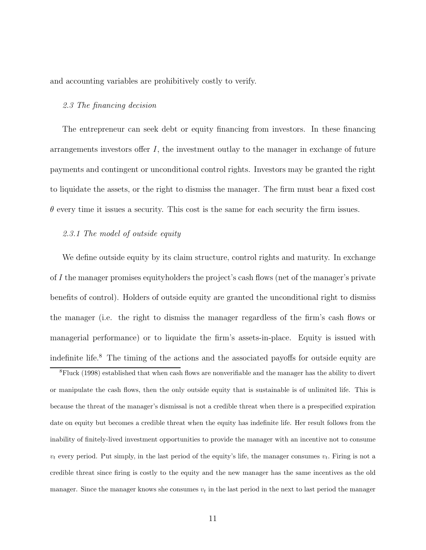and accounting variables are prohibitively costly to verify.

### 2.3 The financing decision

The entrepreneur can seek debt or equity financing from investors. In these financing arrangements investors offer  $I$ , the investment outlay to the manager in exchange of future payments and contingent or unconditional control rights. Investors may be granted the right to liquidate the assets, or the right to dismiss the manager. The firm must bear a fixed cost  $\theta$  every time it issues a security. This cost is the same for each security the firm issues.

### 2.3.1 The model of outside equity

We define outside equity by its claim structure, control rights and maturity. In exchange of I the manager promises equityholders the project's cash flows (net of the manager's private benefits of control). Holders of outside equity are granted the unconditional right to dismiss the manager (i.e. the right to dismiss the manager regardless of the firm's cash flows or managerial performance) or to liquidate the firm's assets-in-place. Equity is issued with indefinite life.<sup>8</sup> The timing of the actions and the associated payoffs for outside equity are

 ${}^8$ Fluck (1998) established that when cash flows are nonverifiable and the manager has the ability to divert or manipulate the cash flows, then the only outside equity that is sustainable is of unlimited life. This is because the threat of the manager's dismissal is not a credible threat when there is a prespecified expiration date on equity but becomes a credible threat when the equity has indefinite life. Her result follows from the inability of finitely-lived investment opportunities to provide the manager with an incentive not to consume  $v_t$  every period. Put simply, in the last period of the equity's life, the manager consumes  $v_t$ . Firing is not a credible threat since firing is costly to the equity and the new manager has the same incentives as the old manager. Since the manager knows she consumes  $v_t$  in the last period in the next to last period the manager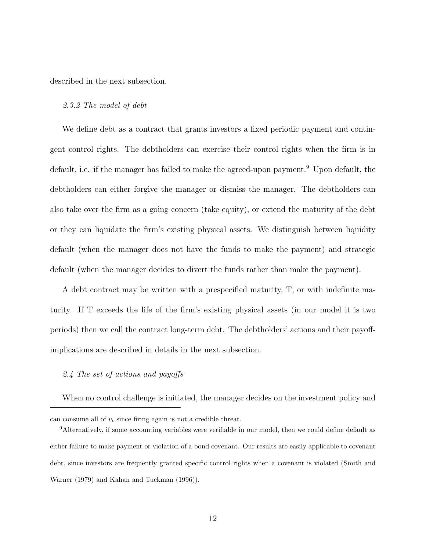described in the next subsection.

#### 2.3.2 The model of debt

We define debt as a contract that grants investors a fixed periodic payment and contingent control rights. The debtholders can exercise their control rights when the firm is in default, i.e. if the manager has failed to make the agreed-upon payment. <sup>9</sup> Upon default, the debtholders can either forgive the manager or dismiss the manager. The debtholders can also take over the firm as a going concern (take equity), or extend the maturity of the debt or they can liquidate the firm's existing physical assets. We distinguish between liquidity default (when the manager does not have the funds to make the payment) and strategic default (when the manager decides to divert the funds rather than make the payment).

A debt contract may be written with a prespecified maturity,  $T$ , or with indefinite maturity. If T exceeds the life of the firm's existing physical assets (in our model it is two periods) then we call the contract long-term debt. The debtholders' actions and their payoffimplications are described in details in the next subsection.

# 2.4 The set of actions and payoffs

When no control challenge is initiated, the manager decides on the investment policy and

can consume all of  $v_t$  since firing again is not a credible threat.

 $9$ Alternatively, if some accounting variables were verifiable in our model, then we could define default as either failure to make payment or violation of a bond covenant. Our results are easily applicable to covenant debt, since investors are frequently granted specific control rights when a covenant is violated (Smith and Warner (1979) and Kahan and Tuckman (1996)).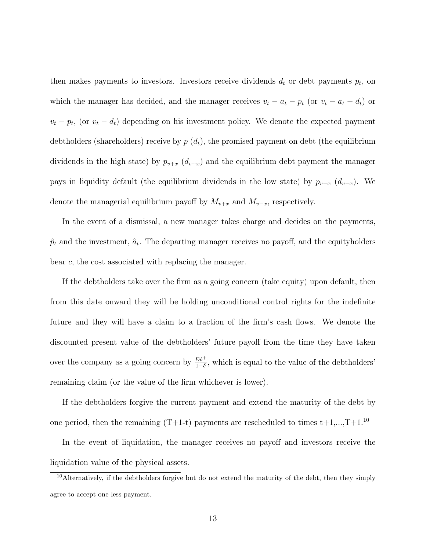then makes payments to investors. Investors receive dividends  $d_t$  or debt payments  $p_t$ , on which the manager has decided, and the manager receives  $v_t - a_t - p_t$  (or  $v_t - a_t - d_t$ ) or  $v_t - p_t$ , (or  $v_t - d_t$ ) depending on his investment policy. We denote the expected payment debtholders (shareholders) receive by  $p(d_t)$ , the promised payment on debt (the equilibrium dividends in the high state) by  $p_{v+x}$   $(d_{v+x})$  and the equilibrium debt payment the manager pays in liquidity default (the equilibrium dividends in the low state) by  $p_{v-x}$   $(d_{v-x})$ . We denote the managerial equilibrium payoff by  $M_{v+x}$  and  $M_{v-x}$ , respectively.

In the event of a dismissal, a new manager takes charge and decides on the payments,  $\hat{p}_t$  and the investment,  $\hat{a}_t$ . The departing manager receives no payoff, and the equityholders bear c; the cost associated with replacing the manager.

If the debtholders take over the firm as a going concern (take equity) upon default, then from this date onward they will be holding unconditional control rights for the indefinite future and they will have a claim to a fraction of the firm's cash flows. We denote the discounted present value of the debtholders' future payoff from the time they have taken over the company as a going concern by  $\frac{E \hat{p}^+}{1-\delta}$  $\frac{Ep^+}{1-\delta}$ , which is equal to the value of the debtholders' remaining claim (or the value of the firm whichever is lower).

If the debtholders forgive the current payment and extend the maturity of the debt by one period, then the remaining  $(T+1-t)$  payments are rescheduled to times  $t+1, ..., T+1$ .<sup>10</sup>

In the event of liquidation, the manager receives no payoff and investors receive the liquidation value of the physical assets.

<sup>&</sup>lt;sup>10</sup>Alternatively, if the debtholders forgive but do not extend the maturity of the debt, then they simply agree to accept one less payment.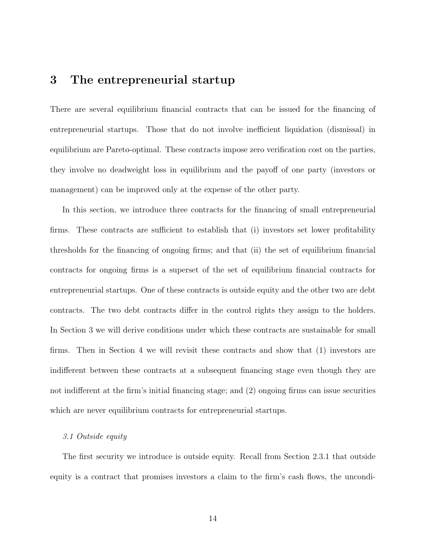# 3 The entrepreneurial startup

There are several equilibrium financial contracts that can be issued for the financing of entrepreneurial startups. Those that do not involve inefficient liquidation (dismissal) in equilibrium are Pareto-optimal. These contracts impose zero verification cost on the parties, they involve no deadweight loss in equilibrium and the payoff of one party (investors or management) can be improved only at the expense of the other party.

In this section, we introduce three contracts for the financing of small entrepreneurial  $r_{\rm rms}$ . These contracts are sufficient to establish that (i) investors set lower profitability thresholds for the financing of ongoing firms; and that  $(ii)$  the set of equilibrium financial contracts for ongoing firms is a superset of the set of equilibrium financial contracts for entrepreneurial startups. One of these contracts is outside equity and the other two are debt contracts. The two debt contracts differ in the control rights they assign to the holders. In Section 3 we will derive conditions under which these contracts are sustainable for small firms. Then in Section 4 we will revisit these contracts and show that  $(1)$  investors are indifferent between these contracts at a subsequent financing stage even though they are not indifferent at the firm's initial financing stage; and  $(2)$  ongoing firms can issue securities which are never equilibrium contracts for entrepreneurial startups.

### 3.1 Outside equity

The first security we introduce is outside equity. Recall from Section 2.3.1 that outside equity is a contract that promises investors a claim to the firm's cash flows, the uncondi-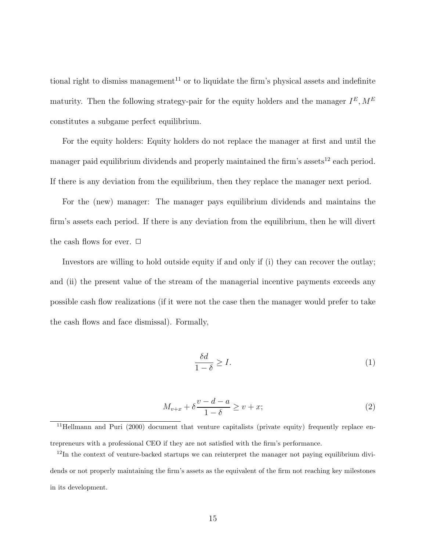tional right to dismiss management<sup>11</sup> or to liquidate the firm's physical assets and indefinite maturity. Then the following strategy-pair for the equity holders and the manager  $I<sup>E</sup>$ ,  $M<sup>E</sup>$ constitutes a subgame perfect equilibrium.

For the equity holders: Equity holders do not replace the manager at first and until the manager paid equilibrium dividends and properly maintained the firm's assets<sup>12</sup> each period. If there is any deviation from the equilibrium, then they replace the manager next period.

For the (new) manager: The manager pays equilibrium dividends and maintains the firm's assets each period. If there is any deviation from the equilibrium, then he will divert the cash flows for ever.  $\Box$ 

Investors are willing to hold outside equity if and only if (i) they can recover the outlay; and (ii) the present value of the stream of the managerial incentive payments exceeds any possible cash flow realizations (if it were not the case then the manager would prefer to take the cash flows and face dismissal). Formally,

$$
\frac{\delta d}{1-\delta} \ge I. \tag{1}
$$

$$
M_{v+x} + \delta \frac{v-d-a}{1-\delta} \ge v+x; \tag{2}
$$

<sup>11</sup>Hellmann and Puri (2000) document that venture capitalists (private equity) frequently replace entrepreneurs with a professional CEO if they are not satisfied with the firm's performance.

<sup>&</sup>lt;sup>12</sup>In the context of venture-backed startups we can reinterpret the manager not paying equilibrium dividends or not properly maintaining the firm's assets as the equivalent of the firm not reaching key milestones in its development.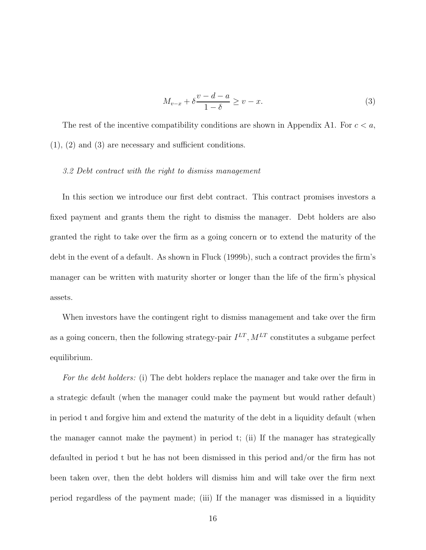$$
M_{v-x} + \delta \frac{v-d-a}{1-\delta} \ge v-x.
$$
 (3)

The rest of the incentive compatibility conditions are shown in Appendix A1. For  $c < a$ ,  $(1), (2)$  and  $(3)$  are necessary and sufficient conditions.

### 3.2 Debt contract with the right to dismiss management

In this section we introduce our first debt contract. This contract promises investors a fixed payment and grants them the right to dismiss the manager. Debt holders are also granted the right to take over the firm as a going concern or to extend the maturity of the debt in the event of a default. As shown in Fluck  $(1999b)$ , such a contract provides the firm's manager can be written with maturity shorter or longer than the life of the firm's physical assets.

When investors have the contingent right to dismiss management and take over the firm as a going concern, then the following strategy-pair  $I^{LT}$ ,  $M^{LT}$  constitutes a subgame perfect equilibrium.

For the debt holders: (i) The debt holders replace the manager and take over the firm in a strategic default (when the manager could make the payment but would rather default) in period t and forgive him and extend the maturity of the debt in a liquidity default (when the manager cannot make the payment) in period t; (ii) If the manager has strategically defaulted in period t but he has not been dismissed in this period and/or the firm has not been taken over, then the debt holders will dismiss him and will take over the firm next period regardless of the payment made; (iii) If the manager was dismissed in a liquidity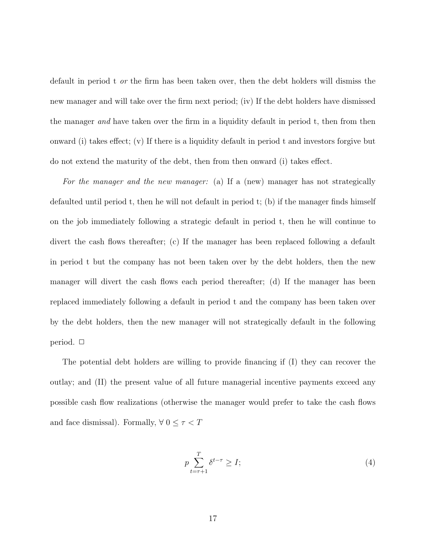default in period t or the firm has been taken over, then the debt holders will dismiss the new manager and will take over the firm next period; (iv) If the debt holders have dismissed the manager and have taken over the firm in a liquidity default in period  $t$ , then from then onward (i) takes effect; (v) If there is a liquidity default in period t and investors forgive but do not extend the maturity of the debt, then from then onward (i) takes effect.

For the manager and the new manager: (a) If a (new) manager has not strategically defaulted until period t, then he will not default in period t; (b) if the manager finds himself on the job immediately following a strategic default in period t, then he will continue to divert the cash flows thereafter; (c) If the manager has been replaced following a default in period t but the company has not been taken over by the debt holders, then the new manager will divert the cash flows each period thereafter; (d) If the manager has been replaced immediately following a default in period t and the company has been taken over by the debt holders, then the new manager will not strategically default in the following period.  $\square$ 

The potential debt holders are willing to provide financing if  $(I)$  they can recover the outlay; and (II) the present value of all future managerial incentive payments exceed any possible cash flow realizations (otherwise the manager would prefer to take the cash flows and face dismissal). Formally,  $\forall$   $0 \leq \tau < T$ 

$$
p \sum_{t=\tau+1}^{T} \delta^{t-\tau} \ge I; \tag{4}
$$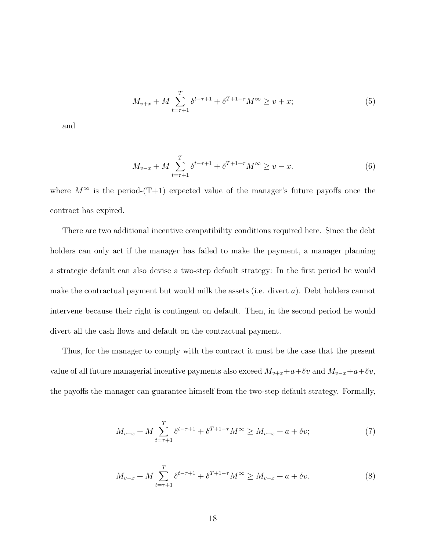$$
M_{v+x} + M \sum_{t=\tau+1}^{T} \delta^{t-\tau+1} + \delta^{T+1-\tau} M^{\infty} \ge v+x; \tag{5}
$$

and

$$
M_{v-x} + M \sum_{t=\tau+1}^{T} \delta^{t-\tau+1} + \delta^{T+1-\tau} M^{\infty} \ge v - x.
$$
 (6)

where  $M^{\infty}$  is the period-(T+1) expected value of the manager's future payoffs once the contract has expired.

There are two additional incentive compatibility conditions required here. Since the debt holders can only act if the manager has failed to make the payment, a manager planning a strategic default can also devise a two-step default strategy: In the first period he would make the contractual payment but would milk the assets (i.e. divert  $a$ ). Debt holders cannot intervene because their right is contingent on default. Then, in the second period he would divert all the cash flows and default on the contractual payment.

Thus, for the manager to comply with the contract it must be the case that the present value of all future managerial incentive payments also exceed  $M_{v+x}+a+\delta v$  and  $M_{v-x}+a+\delta v$ ; the payoffs the manager can guarantee himself from the two-step default strategy. Formally,

$$
M_{v+x} + M \sum_{t=\tau+1}^{T} \delta^{t-\tau+1} + \delta^{T+1-\tau} M^{\infty} \ge M_{v+x} + a + \delta v; \tag{7}
$$

$$
M_{v-x} + M \sum_{t=\tau+1}^{T} \delta^{t-\tau+1} + \delta^{T+1-\tau} M^{\infty} \ge M_{v-x} + a + \delta v.
$$
 (8)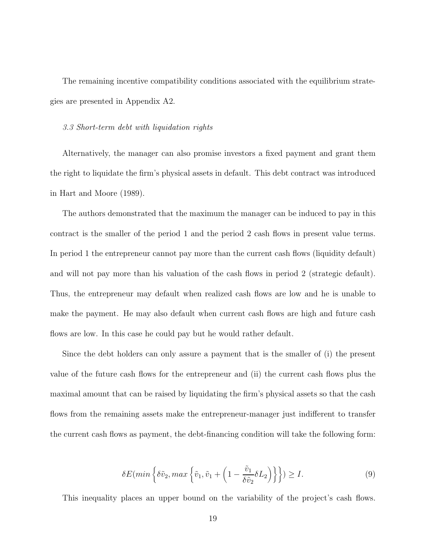The remaining incentive compatibility conditions associated with the equilibrium strategies are presented in Appendix A2.

### 3.3 Short-term debt with liquidation rights

Alternatively, the manager can also promise investors a fixed payment and grant them the right to liquidate the firm's physical assets in default. This debt contract was introduced in Hart and Moore (1989).

The authors demonstrated that the maximum the manager can be induced to pay in this contract is the smaller of the period 1 and the period 2 cash flows in present value terms. In period 1 the entrepreneur cannot pay more than the current cash flows (liquidity default) and will not pay more than his valuation of the cash flows in period 2 (strategic default). Thus, the entrepreneur may default when realized cash flows are low and he is unable to make the payment. He may also default when current cash flows are high and future cash flows are low. In this case he could pay but he would rather default.

Since the debt holders can only assure a payment that is the smaller of (i) the present value of the future cash flows for the entrepreneur and (ii) the current cash flows plus the maximal amount that can be raised by liquidating the firm's physical assets so that the cash flows from the remaining assets make the entrepreneur-manager just indifferent to transfer the current cash flows as payment, the debt-financing condition will take the following form:

$$
\delta E(min\left\{\delta \tilde{v}_2, max\left\{\tilde{v}_1, \tilde{v}_1 + \left(1 - \frac{\tilde{v}_1}{\delta \tilde{v}_2} \delta L_2\right)\right\}\right\}) \ge I.
$$
\n(9)

This inequality places an upper bound on the variability of the project's cash flows.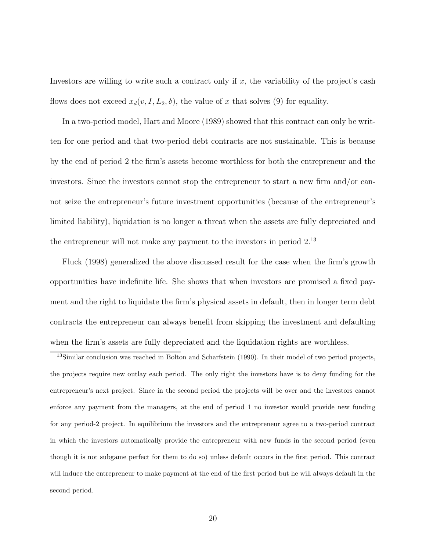Investors are willing to write such a contract only if  $x$ , the variability of the project's cash flows does not exceed  $x_d(v, I, L_2, \delta)$ , the value of x that solves (9) for equality.

In a two-period model, Hart and Moore (1989) showed that this contract can only be written for one period and that two-period debt contracts are not sustainable. This is because by the end of period 2 the firm's assets become worthless for both the entrepreneur and the investors. Since the investors cannot stop the entrepreneur to start a new  $\lim_{n \to \infty}$  and/or cannot seize the entrepreneur's future investment opportunities (because of the entrepreneur's limited liability), liquidation is no longer a threat when the assets are fully depreciated and the entrepreneur will not make any payment to the investors in period 2.<sup>13</sup>

Fluck (1998) generalized the above discussed result for the case when the firm's growth opportunities have indefinite life. She shows that when investors are promised a fixed payment and the right to liquidate the firm's physical assets in default, then in longer term debt contracts the entrepreneur can always benefit from skipping the investment and defaulting when the firm's assets are fully depreciated and the liquidation rights are worthless.

<sup>13</sup>Similar conclusion was reached in Bolton and Scharfstein (1990). In their model of two period projects, the projects require new outlay each period. The only right the investors have is to deny funding for the entrepreneur's next project. Since in the second period the projects will be over and the investors cannot enforce any payment from the managers, at the end of period 1 no investor would provide new funding for any period-2 project. In equilibrium the investors and the entrepreneur agree to a two-period contract in which the investors automatically provide the entrepreneur with new funds in the second period (even though it is not subgame perfect for them to do so) unless default occurs in the first period. This contract will induce the entrepreneur to make payment at the end of the first period but he will always default in the second period.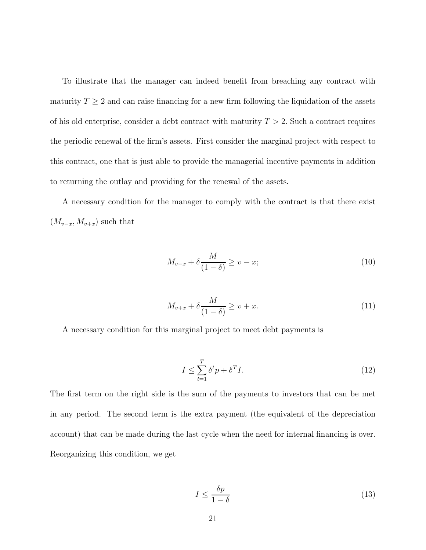To illustrate that the manager can indeed benefit from breaching any contract with maturity  $T \geq 2$  and can raise financing for a new firm following the liquidation of the assets of his old enterprise, consider a debt contract with maturity  $T > 2$ . Such a contract requires the periodic renewal of the firm's assets. First consider the marginal project with respect to this contract, one that is just able to provide the managerial incentive payments in addition to returning the outlay and providing for the renewal of the assets.

A necessary condition for the manager to comply with the contract is that there exist  $(M_{v-x}, M_{v+x})$  such that

$$
M_{v-x} + \delta \frac{M}{(1-\delta)} \ge v - x;\tag{10}
$$

$$
M_{v+x} + \delta \frac{M}{(1-\delta)} \ge v + x. \tag{11}
$$

A necessary condition for this marginal project to meet debt payments is

$$
I \le \sum_{t=1}^{T} \delta^t p + \delta^T I. \tag{12}
$$

The first term on the right side is the sum of the payments to investors that can be met in any period. The second term is the extra payment (the equivalent of the depreciation account) that can be made during the last cycle when the need for internal financing is over. Reorganizing this condition, we get

$$
I \le \frac{\delta p}{1 - \delta} \tag{13}
$$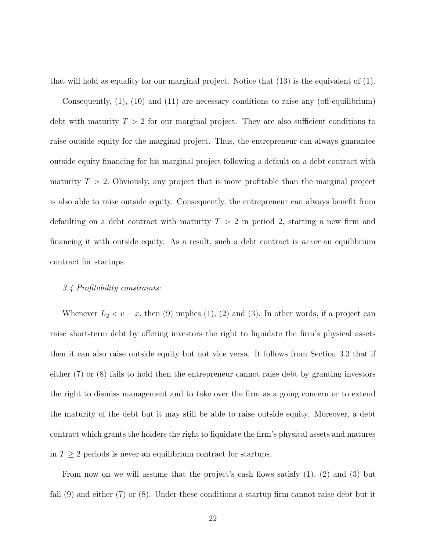that will hold as equality for our marginal project. Notice that (13) is the equivalent of (1).

Consequently,  $(1)$ ,  $(10)$  and  $(11)$  are necessary conditions to raise any (off-equilibrium) debt with maturity  $T > 2$  for our marginal project. They are also sufficient conditions to raise outside equity for the marginal project. Thus, the entrepreneur can always guarantee outside equity financing for his marginal project following a default on a debt contract with maturity  $T > 2$ . Obviously, any project that is more profitable than the marginal project is also able to raise outside equity. Consequently, the entrepreneur can always benefit from defaulting on a debt contract with maturity  $T > 2$  in period 2, starting a new firm and financing it with outside equity. As a result, such a debt contract is *never* an equilibrium contract for startups.

### 3.4 Profitability constraints:

Whenever  $L_2 < v - x$ , then (9) implies (1), (2) and (3). In other words, if a project can raise short-term debt by offering investors the right to liquidate the firm's physical assets then it can also raise outside equity but not vice versa. It follows from Section 3.3 that if either (7) or (8) fails to hold then the entrepreneur cannot raise debt by granting investors the right to dismiss management and to take over the firm as a going concern or to extend the maturity of the debt but it may still be able to raise outside equity. Moreover, a debt contract which grants the holders the right to liquidate the firm's physical assets and matures in  $T \geq 2$  periods is never an equilibrium contract for startups.

From now on we will assume that the project's cash flows satisfy  $(1)$ ,  $(2)$  and  $(3)$  but fail  $(9)$  and either  $(7)$  or  $(8)$ . Under these conditions a startup firm cannot raise debt but it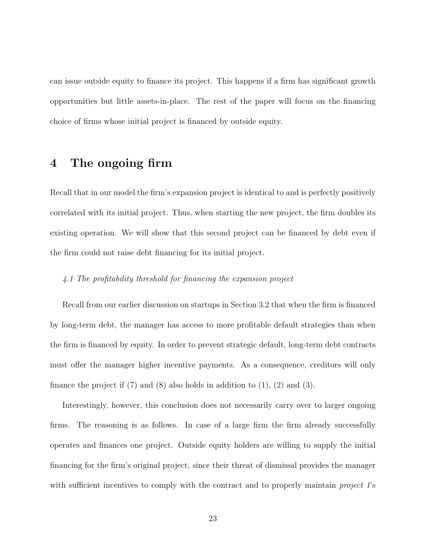can issue outside equity to finance its project. This happens if a firm has significant growth opportunities but little assets-in-place. The rest of the paper will focus on the financing choice of firms whose initial project is financed by outside equity.

# 4 The ongoing firm

Recall that in our model the firm's expansion project is identical to and is perfectly positively correlated with its initial project. Thus, when starting the new project, the firm doubles its existing operation. We will show that this second project can be financed by debt even if the firm could not raise debt financing for its initial project.

## $4.1$  The profitability threshold for financing the expansion project

Recall from our earlier discussion on startups in Section 3.2 that when the firm is financed by long-term debt, the manager has access to more profitable default strategies than when the firm is financed by equity. In order to prevent strategic default, long-term debt contracts must offer the manager higher incentive payments. As a consequence, creditors will only finance the project if  $(7)$  and  $(8)$  also holds in addition to  $(1), (2)$  and  $(3)$ .

Interestingly, however, this conclusion does not necessarily carry over to larger ongoing  $r_{\rm rms}$ . The reasoning is as follows. In case of a large firm the firm already successfully operates and finances one project. Outside equity holders are willing to supply the initial financing for the firm's original project, since their threat of dismissal provides the manager with sufficient incentives to comply with the contract and to properly maintain *project*  $T$ 's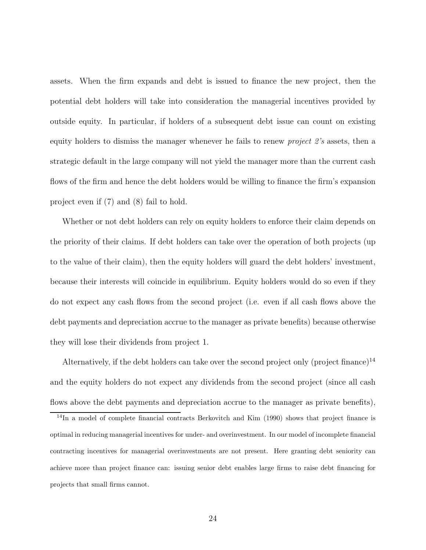assets. When the firm expands and debt is issued to finance the new project, then the potential debt holders will take into consideration the managerial incentives provided by outside equity. In particular, if holders of a subsequent debt issue can count on existing equity holders to dismiss the manager whenever he fails to renew project 2's assets, then a strategic default in the large company will not yield the manager more than the current cash flows of the firm and hence the debt holders would be willing to finance the firm's expansion project even if (7) and (8) fail to hold.

Whether or not debt holders can rely on equity holders to enforce their claim depends on the priority of their claims. If debt holders can take over the operation of both projects (up to the value of their claim), then the equity holders will guard the debt holders' investment, because their interests will coincide in equilibrium. Equity holders would do so even if they do not expect any cash flows from the second project (i.e. even if all cash flows above the debt payments and depreciation accrue to the manager as private benefits) because otherwise they will lose their dividends from project 1.

Alternatively, if the debt holders can take over the second project only (project finance)<sup>14</sup> and the equity holders do not expect any dividends from the second project (since all cash flows above the debt payments and depreciation accrue to the manager as private benefits),

 $14$ In a model of complete financial contracts Berkovitch and Kim (1990) shows that project finance is optimal in reducing managerial incentives for under- and overinvestment. In our model of incomplete financial contracting incentives for managerial overinvestments are not present. Here granting debt seniority can achieve more than project finance can: issuing senior debt enables large firms to raise debt financing for projects that small firms cannot.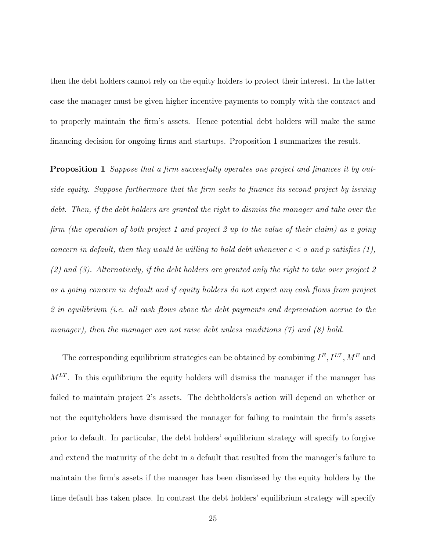then the debt holders cannot rely on the equity holders to protect their interest. In the latter case the manager must be given higher incentive payments to comply with the contract and to properly maintain the firm's assets. Hence potential debt holders will make the same financing decision for ongoing firms and startups. Proposition 1 summarizes the result.

**Proposition 1** Suppose that a firm successfully operates one project and finances it by outside equity. Suppose furthermore that the firm seeks to finance its second project by issuing debt. Then, if the debt holders are granted the right to dismiss the manager and take over the firm (the operation of both project 1 and project 2 up to the value of their claim) as a going concern in default, then they would be willing to hold debt whenever  $c < a$  and p satisfies (1), (2) and (3). Alternatively, if the debt holders are granted only the right to take over project 2 as a going concern in default and if equity holders do not expect any cash flows from project 2 in equilibrium (i.e. all cash flows above the debt payments and depreciation accrue to the manager), then the manager can not raise debt unless conditions  $(7)$  and  $(8)$  hold.

The corresponding equilibrium strategies can be obtained by combining  $I<sup>E</sup>, I<sup>LT</sup>, M<sup>E</sup>$  and  $M<sup>LT</sup>$ . In this equilibrium the equity holders will dismiss the manager if the manager has failed to maintain project 2's assets. The debtholders's action will depend on whether or not the equityholders have dismissed the manager for failing to maintain the firm's assets prior to default. In particular, the debt holders' equilibrium strategy will specify to forgive and extend the maturity of the debt in a default that resulted from the manager's failure to maintain the firm's assets if the manager has been dismissed by the equity holders by the time default has taken place. In contrast the debt holders' equilibrium strategy will specify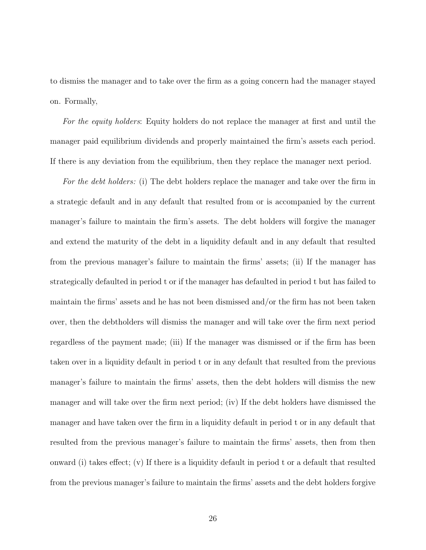to dismiss the manager and to take over the firm as a going concern had the manager stayed on. Formally,

For the equity holders: Equity holders do not replace the manager at first and until the manager paid equilibrium dividends and properly maintained the firm's assets each period. If there is any deviation from the equilibrium, then they replace the manager next period.

For the debt holders: (i) The debt holders replace the manager and take over the firm in a strategic default and in any default that resulted from or is accompanied by the current manager's failure to maintain the firm's assets. The debt holders will forgive the manager and extend the maturity of the debt in a liquidity default and in any default that resulted from the previous manager's failure to maintain the firms' assets; (ii) If the manager has strategically defaulted in period t or if the manager has defaulted in period t but has failed to maintain the firms' assets and he has not been dismissed and/or the firm has not been taken over, then the debtholders will dismiss the manager and will take over the firm next period regardless of the payment made; (iii) If the manager was dismissed or if the firm has been taken over in a liquidity default in period t or in any default that resulted from the previous manager's failure to maintain the firms' assets, then the debt holders will dismiss the new manager and will take over the firm next period; (iv) If the debt holders have dismissed the manager and have taken over the firm in a liquidity default in period t or in any default that resulted from the previous manager's failure to maintain the firms' assets, then from then onward (i) takes effect; (v) If there is a liquidity default in period t or a default that resulted from the previous manager's failure to maintain the firms' assets and the debt holders forgive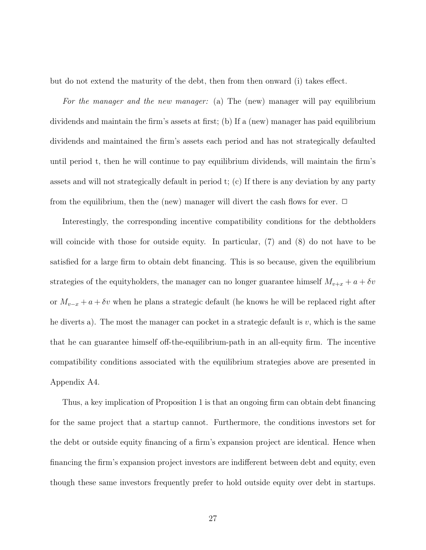but do not extend the maturity of the debt, then from then onward (i) takes effect.

For the manager and the new manager: (a) The (new) manager will pay equilibrium dividends and maintain the firm's assets at first; (b) If a (new) manager has paid equilibrium dividends and maintained the firm's assets each period and has not strategically defaulted until period t, then he will continue to pay equilibrium dividends, will maintain the firm's assets and will not strategically default in period t; (c) If there is any deviation by any party from the equilibrium, then the (new) manager will divert the cash flows for ever.  $\Box$ 

Interestingly, the corresponding incentive compatibility conditions for the debtholders will coincide with those for outside equity. In particular,  $(7)$  and  $(8)$  do not have to be satisfied for a large firm to obtain debt financing. This is so because, given the equilibrium strategies of the equityholders, the manager can no longer guarantee himself  $M_{v+x} + a + \delta v$ or  $M_{v-x} + a + \delta v$  when he plans a strategic default (he knows he will be replaced right after he diverts a). The most the manager can pocket in a strategic default is  $v$ , which is the same that he can guarantee himself of the-equilibrium-path in an all-equity  $firm$ . The incentive compatibility conditions associated with the equilibrium strategies above are presented in Appendix A4.

Thus, a key implication of Proposition 1 is that an ongoing firm can obtain debt financing for the same project that a startup cannot. Furthermore, the conditions investors set for the debt or outside equity financing of a firm's expansion project are identical. Hence when financing the firm's expansion project investors are indifferent between debt and equity, even though these same investors frequently prefer to hold outside equity over debt in startups.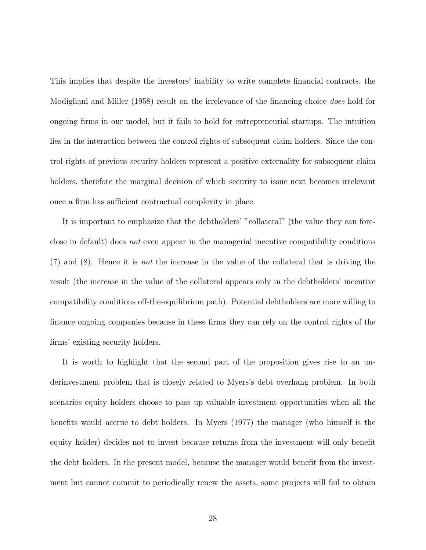This implies that despite the investors' inability to write complete financial contracts, the Modigliani and Miller (1958) result on the irrelevance of the financing choice *does* hold for ongoing firms in our model, but it fails to hold for entrepreneurial startups. The intuition lies in the interaction between the control rights of subsequent claim holders. Since the control rights of previous security holders represent a positive externality for subsequent claim holders, therefore the marginal decision of which security to issue next becomes irrelevant once a firm has sufficient contractual complexity in place.

It is important to emphasize that the debtholders' "collateral" (the value they can foreclose in default) does not even appear in the managerial incentive compatibility conditions (7) and (8). Hence it is not the increase in the value of the collateral that is driving the result (the increase in the value of the collateral appears only in the debtholders' incentive compatibility conditions of the-equilibrium path). Potential debtholders are more willing to finance ongoing companies because in these firms they can rely on the control rights of the firms' existing security holders.

It is worth to highlight that the second part of the proposition gives rise to an underinvestment problem that is closely related to Myers's debt overhang problem. In both scenarios equity holders choose to pass up valuable investment opportunities when all the benefits would accrue to debt holders. In Myers (1977) the manager (who himself is the equity holder) decides not to invest because returns from the investment will only benefit the debt holders. In the present model, because the manager would benefit from the investment but cannot commit to periodically renew the assets, some projects will fail to obtain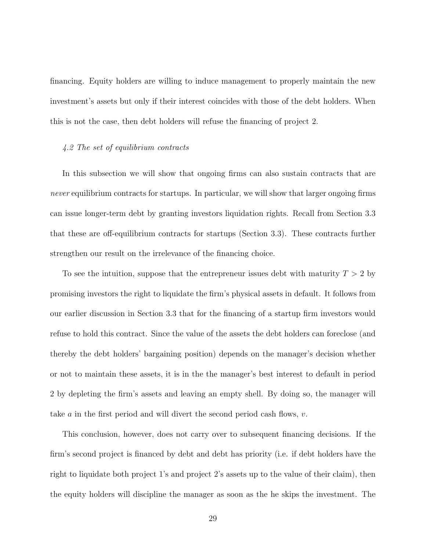financing. Equity holders are willing to induce management to properly maintain the new investment's assets but only if their interest coincides with those of the debt holders. When this is not the case, then debt holders will refuse the financing of project 2.

### 4.2 The set of equilibrium contracts

In this subsection we will show that ongoing firms can also sustain contracts that are *never* equilibrium contracts for startups. In particular, we will show that larger ongoing firms can issue longer-term debt by granting investors liquidation rights. Recall from Section 3.3 that these are off-equilibrium contracts for startups (Section 3.3). These contracts further strengthen our result on the irrelevance of the financing choice.

To see the intuition, suppose that the entrepreneur issues debt with maturity  $T > 2$  by promising investors the right to liquidate the firm's physical assets in default. It follows from our earlier discussion in Section 3.3 that for the financing of a startup firm investors would refuse to hold this contract. Since the value of the assets the debt holders can foreclose (and thereby the debt holders' bargaining position) depends on the manager's decision whether or not to maintain these assets, it is in the the manager's best interest to default in period 2 by depleting the firm's assets and leaving an empty shell. By doing so, the manager will take a in the first period and will divert the second period cash flows,  $v$ .

This conclusion, however, does not carry over to subsequent financing decisions. If the firm's second project is financed by debt and debt has priority (i.e. if debt holders have the right to liquidate both project 1's and project 2's assets up to the value of their claim), then the equity holders will discipline the manager as soon as the he skips the investment. The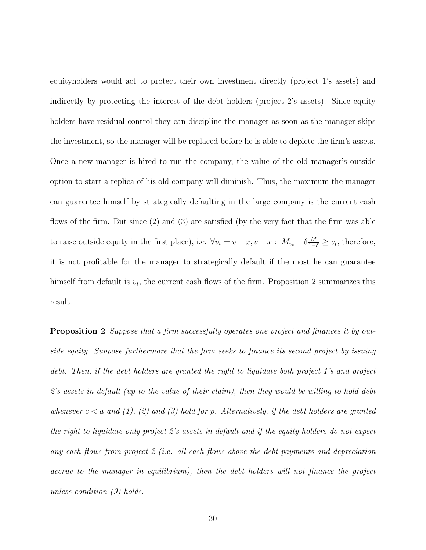equityholders would act to protect their own investment directly (project 1's assets) and indirectly by protecting the interest of the debt holders (project 2's assets). Since equity holders have residual control they can discipline the manager as soon as the manager skips the investment, so the manager will be replaced before he is able to deplete the firm's assets. Once a new manager is hired to run the company, the value of the old manager's outside option to start a replica of his old company will diminish. Thus, the maximum the manager can guarantee himself by strategically defaulting in the large company is the current cash flows of the firm. But since  $(2)$  and  $(3)$  are satisfied (by the very fact that the firm was able to raise outside equity in the first place), i.e.  $\forall v_t = v + x, v - x : M_{v_t} + \delta \frac{M}{1-\delta} \geq v_t$ , therefore, it is not profitable for the manager to strategically default if the most he can guarantee himself from default is  $v_t$ , the current cash flows of the firm. Proposition 2 summarizes this result.

**Proposition 2** Suppose that a firm successfully operates one project and finances it by outside equity. Suppose furthermore that the firm seeks to finance its second project by issuing debt. Then, if the debt holders are granted the right to liquidate both project 1's and project  $2$ 's assets in default (up to the value of their claim), then they would be willing to hold debt whenever  $c < a$  and (1), (2) and (3) hold for p. Alternatively, if the debt holders are granted the right to liquidate only project 2's assets in default and if the equity holders do not expect any cash flows from project  $2$  (i.e. all cash flows above the debt payments and depreciation  $\alpha$  accrue to the manager in equilibrium), then the debt holders will not finance the project unless condition (9) holds.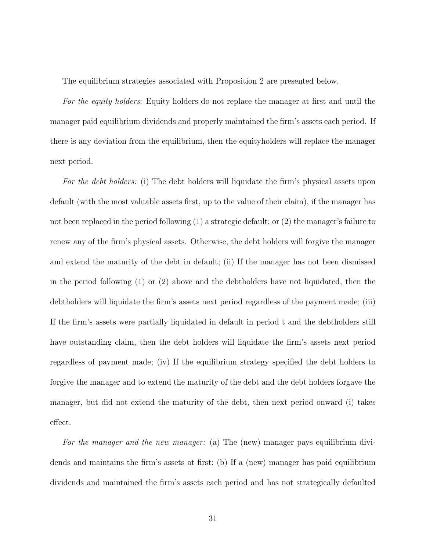The equilibrium strategies associated with Proposition 2 are presented below.

For the equity holders: Equity holders do not replace the manager at first and until the manager paid equilibrium dividends and properly maintained the firm's assets each period. If there is any deviation from the equilibrium, then the equityholders will replace the manager next period.

For the debt holders: (i) The debt holders will liquidate the firm's physical assets upon default (with the most valuable assets first, up to the value of their claim), if the manager has not been replaced in the period following (1) a strategic default; or (2) the manager's failure to renew any of the firm's physical assets. Otherwise, the debt holders will forgive the manager and extend the maturity of the debt in default; (ii) If the manager has not been dismissed in the period following (1) or (2) above and the debtholders have not liquidated, then the debtholders will liquidate the firm's assets next period regardless of the payment made; (iii) If the firm's assets were partially liquidated in default in period  $t$  and the debtholders still have outstanding claim, then the debt holders will liquidate the firm's assets next period regardless of payment made; (iv) If the equilibrium strategy specified the debt holders to forgive the manager and to extend the maturity of the debt and the debt holders forgave the manager, but did not extend the maturity of the debt, then next period onward (i) takes effect.

For the manager and the new manager: (a) The (new) manager pays equilibrium dividends and maintains the firm's assets at first; (b) If a (new) manager has paid equilibrium dividends and maintained the firm's assets each period and has not strategically defaulted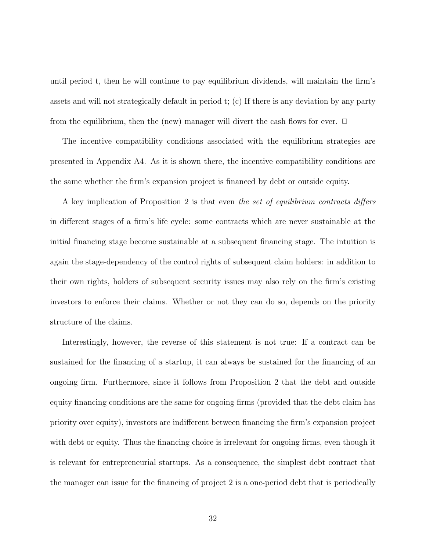until period t, then he will continue to pay equilibrium dividends, will maintain the firm's assets and will not strategically default in period t; (c) If there is any deviation by any party from the equilibrium, then the (new) manager will divert the cash flows for ever.  $\Box$ 

The incentive compatibility conditions associated with the equilibrium strategies are presented in Appendix A4. As it is shown there, the incentive compatibility conditions are the same whether the firm's expansion project is financed by debt or outside equity.

A key implication of Proposition 2 is that even the set of equilibrium contracts differs in different stages of a firm's life cycle: some contracts which are never sustainable at the initial financing stage become sustainable at a subsequent financing stage. The intuition is again the stage-dependency of the control rights of subsequent claim holders: in addition to their own rights, holders of subsequent security issues may also rely on the firm's existing investors to enforce their claims. Whether or not they can do so, depends on the priority structure of the claims.

Interestingly, however, the reverse of this statement is not true: If a contract can be sustained for the financing of a startup, it can always be sustained for the financing of an ongoing firm. Furthermore, since it follows from Proposition 2 that the debt and outside equity financing conditions are the same for ongoing firms (provided that the debt claim has priority over equity), investors are indifferent between financing the firm's expansion project with debt or equity. Thus the financing choice is irrelevant for ongoing firms, even though it is relevant for entrepreneurial startups. As a consequence, the simplest debt contract that the manager can issue for the financing of project  $2$  is a one-period debt that is periodically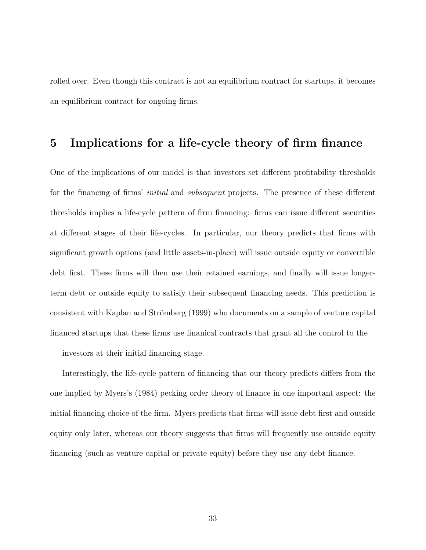rolled over. Even though this contract is not an equilibrium contract for startups, it becomes an equilibrium contract for ongoing firms.

# 5 Implications for a life-cycle theory of firm finance

One of the implications of our model is that investors set different profitability thresholds for the financing of firms' *initial* and *subsequent* projects. The presence of these different thresholds implies a life-cycle pattern of firm financing: firms can issue different securities at different stages of their life-cycles. In particular, our theory predicts that firms with significant growth options (and little assets-in-place) will issue outside equity or convertible debt first. These firms will then use their retained earnings, and finally will issue longerterm debt or outside equity to satisfy their subsequent financing needs. This prediction is consistent with Kaplan and Strömberg (1999) who documents on a sample of venture capital financed startups that these firms use finanical contracts that grant all the control to the investors at their initial financing stage.

Interestingly, the life-cycle pattern of financing that our theory predicts differs from the one implied by Myers's (1984) pecking order theory of finance in one important aspect: the initial financing choice of the firm. Myers predicts that firms will issue debt first and outside equity only later, whereas our theory suggests that firms will frequently use outside equity financing (such as venture capital or private equity) before they use any debt finance.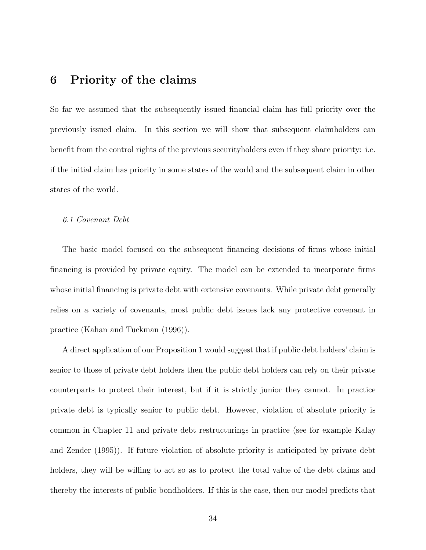# 6 Priority of the claims

So far we assumed that the subsequently issued financial claim has full priority over the previously issued claim. In this section we will show that subsequent claimholders can benefit from the control rights of the previous securityholders even if they share priority: i.e. if the initial claim has priority in some states of the world and the subsequent claim in other states of the world.

#### 6.1 Covenant Debt

The basic model focused on the subsequent financing decisions of firms whose initial financing is provided by private equity. The model can be extended to incorporate firms whose initial financing is private debt with extensive covenants. While private debt generally relies on a variety of covenants, most public debt issues lack any protective covenant in practice (Kahan and Tuckman (1996)).

A direct application of our Proposition 1 would suggest that if public debt holders' claim is senior to those of private debt holders then the public debt holders can rely on their private counterparts to protect their interest, but if it is strictly junior they cannot. In practice private debt is typically senior to public debt. However, violation of absolute priority is common in Chapter 11 and private debt restructurings in practice (see for example Kalay and Zender (1995)). If future violation of absolute priority is anticipated by private debt holders, they will be willing to act so as to protect the total value of the debt claims and thereby the interests of public bondholders. If this is the case, then our model predicts that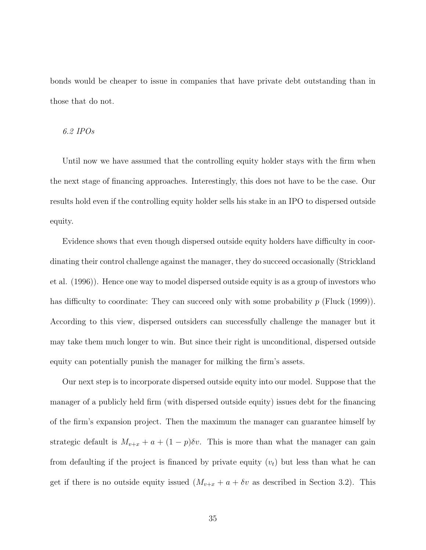bonds would be cheaper to issue in companies that have private debt outstanding than in those that do not.

# 6.2 IPOs

Until now we have assumed that the controlling equity holder stays with the firm when the next stage of financing approaches. Interestingly, this does not have to be the case. Our results hold even if the controlling equity holder sells his stake in an IPO to dispersed outside equity.

Evidence shows that even though dispersed outside equity holders have difficulty in coordinating their control challenge against the manager, they do succeed occasionally (Strickland et al. (1996)). Hence one way to model dispersed outside equity is as a group of investors who has difficulty to coordinate: They can succeed only with some probability  $p$  (Fluck (1999)). According to this view, dispersed outsiders can successfully challenge the manager but it may take them much longer to win. But since their right is unconditional, dispersed outside equity can potentially punish the manager for milking the firm's assets.

Our next step is to incorporate dispersed outside equity into our model. Suppose that the manager of a publicly held firm (with dispersed outside equity) issues debt for the financing of the firm's expansion project. Then the maximum the manager can guarantee himself by strategic default is  $M_{v+x} + a + (1-p)\delta v$ . This is more than what the manager can gain from defaulting if the project is financed by private equity  $(v_t)$  but less than what he can get if there is no outside equity issued  $(M_{v+x} + a + \delta v)$  as described in Section 3.2). This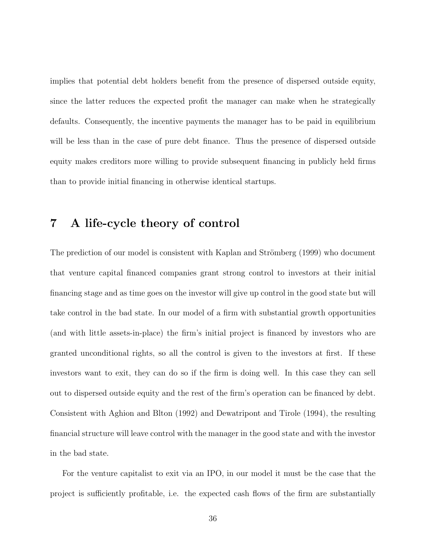implies that potential debt holders benefit from the presence of dispersed outside equity, since the latter reduces the expected profit the manager can make when he strategically defaults. Consequently, the incentive payments the manager has to be paid in equilibrium will be less than in the case of pure debt finance. Thus the presence of dispersed outside equity makes creditors more willing to provide subsequent financing in publicly held firms than to provide initial financing in otherwise identical startups.

# 7 A life-cycle theory of control

The prediction of our model is consistent with Kaplan and Strömberg (1999) who document that venture capital financed companies grant strong control to investors at their initial ¯nancing stage and as time goes on the investor will give up control in the good state but will take control in the bad state. In our model of a firm with substantial growth opportunities (and with little assets-in-place) the firm's initial project is financed by investors who are granted unconditional rights, so all the control is given to the investors at first. If these investors want to exit, they can do so if the firm is doing well. In this case they can sell out to dispersed outside equity and the rest of the firm's operation can be financed by debt. Consistent with Aghion and Blton (1992) and Dewatripont and Tirole (1994), the resulting ¯nancial structure will leave control with the manager in the good state and with the investor in the bad state.

For the venture capitalist to exit via an IPO, in our model it must be the case that the project is sufficiently profitable, i.e. the expected cash flows of the firm are substantially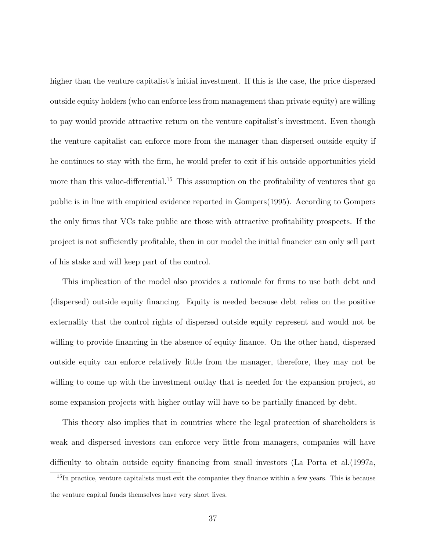higher than the venture capitalist's initial investment. If this is the case, the price dispersed outside equity holders (who can enforce less from management than private equity) are willing to pay would provide attractive return on the venture capitalist's investment. Even though the venture capitalist can enforce more from the manager than dispersed outside equity if he continues to stay with the firm, he would prefer to exit if his outside opportunities yield more than this value-differential.<sup>15</sup> This assumption on the profitability of ventures that go public is in line with empirical evidence reported in Gompers(1995). According to Gompers the only firms that VCs take public are those with attractive profitability prospects. If the project is not sufficiently profitable, then in our model the initial financier can only sell part of his stake and will keep part of the control.

This implication of the model also provides a rationale for firms to use both debt and (dispersed) outside equity financing. Equity is needed because debt relies on the positive externality that the control rights of dispersed outside equity represent and would not be willing to provide financing in the absence of equity finance. On the other hand, dispersed outside equity can enforce relatively little from the manager, therefore, they may not be willing to come up with the investment outlay that is needed for the expansion project, so some expansion projects with higher outlay will have to be partially financed by debt.

This theory also implies that in countries where the legal protection of shareholders is weak and dispersed investors can enforce very little from managers, companies will have difficulty to obtain outside equity financing from small investors (La Porta et al.  $(1997a,$ 

<sup>&</sup>lt;sup>15</sup>In practice, venture capitalists must exit the companies they finance within a few years. This is because the venture capital funds themselves have very short lives.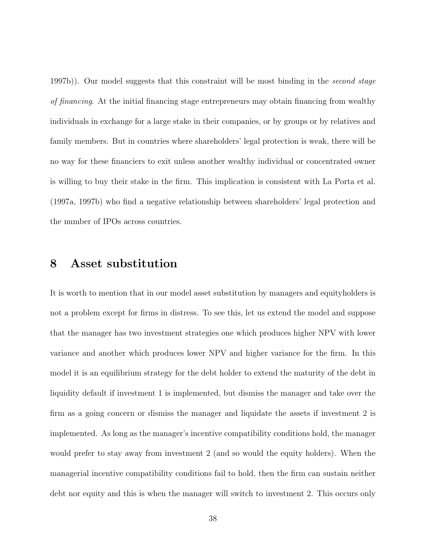1997b)). Our model suggests that this constraint will be most binding in the second stage of financing. At the initial financing stage entrepreneurs may obtain financing from wealthy individuals in exchange for a large stake in their companies, or by groups or by relatives and family members. But in countries where shareholders' legal protection is weak, there will be no way for these financiers to exit unless another wealthy individual or concentrated owner is willing to buy their stake in the firm. This implication is consistent with La Porta et al. (1997a, 1997b) who find a negative relationship between shareholders' legal protection and the number of IPOs across countries.

# 8 Asset substitution

It is worth to mention that in our model asset substitution by managers and equityholders is not a problem except for firms in distress. To see this, let us extend the model and suppose that the manager has two investment strategies one which produces higher NPV with lower variance and another which produces lower NPV and higher variance for the firm. In this model it is an equilibrium strategy for the debt holder to extend the maturity of the debt in liquidity default if investment 1 is implemented, but dismiss the manager and take over the firm as a going concern or dismiss the manager and liquidate the assets if investment 2 is implemented. As long as the manager's incentive compatibility conditions hold, the manager would prefer to stay away from investment 2 (and so would the equity holders). When the managerial incentive compatibility conditions fail to hold, then the firm can sustain neither debt nor equity and this is when the manager will switch to investment 2. This occurs only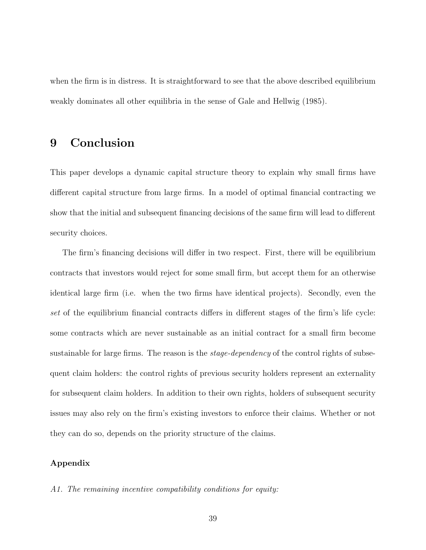when the firm is in distress. It is straightforward to see that the above described equilibrium weakly dominates all other equilibria in the sense of Gale and Hellwig (1985).

# 9 Conclusion

This paper develops a dynamic capital structure theory to explain why small firms have different capital structure from large firms. In a model of optimal financial contracting we show that the initial and subsequent financing decisions of the same firm will lead to different security choices.

The firm's financing decisions will differ in two respect. First, there will be equilibrium contracts that investors would reject for some small firm, but accept them for an otherwise identical large firm (i.e. when the two firms have identical projects). Secondly, even the set of the equilibrium financial contracts differs in different stages of the firm's life cycle: some contracts which are never sustainable as an initial contract for a small firm become sustainable for large firms. The reason is the *stage-dependency* of the control rights of subsequent claim holders: the control rights of previous security holders represent an externality for subsequent claim holders. In addition to their own rights, holders of subsequent security issues may also rely on the firm's existing investors to enforce their claims. Whether or not they can do so, depends on the priority structure of the claims.

# Appendix

### A1. The remaining incentive compatibility conditions for equity: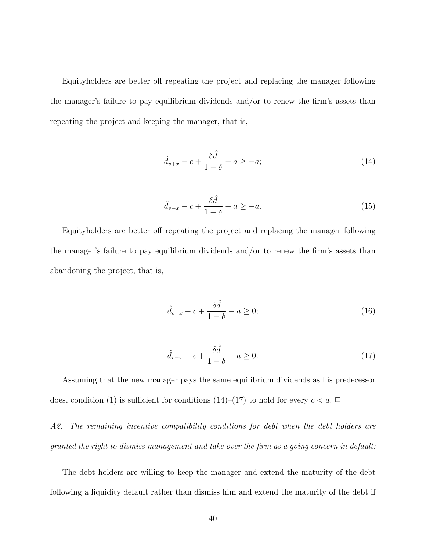Equityholders are better off repeating the project and replacing the manager following the manager's failure to pay equilibrium dividends and/or to renew the firm's assets than repeating the project and keeping the manager, that is,

$$
\hat{d}_{v+x} - c + \frac{\delta \hat{d}}{1 - \delta} - a \ge -a; \tag{14}
$$

$$
\hat{d}_{v-x} - c + \frac{\delta \hat{d}}{1 - \delta} - a \ge -a. \tag{15}
$$

Equityholders are better off repeating the project and replacing the manager following the manager's failure to pay equilibrium dividends and/or to renew the firm's assets than abandoning the project, that is,

$$
\hat{d}_{v+x} - c + \frac{\delta \hat{d}}{1 - \delta} - a \ge 0; \tag{16}
$$

$$
\hat{d}_{v-x} - c + \frac{\delta \hat{d}}{1 - \delta} - a \ge 0. \tag{17}
$$

Assuming that the new manager pays the same equilibrium dividends as his predecessor does, condition (1) is sufficient for conditions (14)–(17) to hold for every  $c < a$ .  $\Box$ 

A2. The remaining incentive compatibility conditions for debt when the debt holders are granted the right to dismiss management and take over the firm as a going concern in default:

The debt holders are willing to keep the manager and extend the maturity of the debt following a liquidity default rather than dismiss him and extend the maturity of the debt if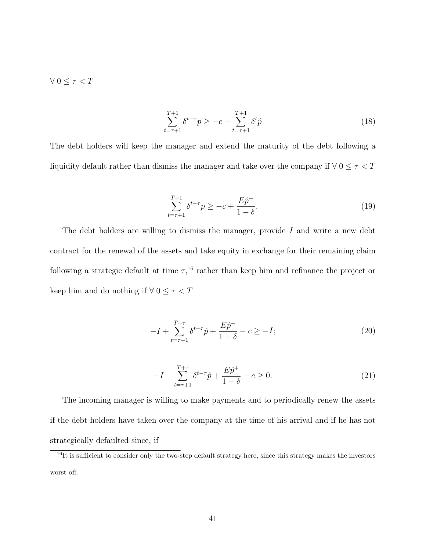$\forall 0 \leq \tau < T$ 

$$
\sum_{t=\tau+1}^{T+1} \delta^{t-\tau} p \ge -c + \sum_{t=\tau+1}^{T+1} \delta^t \hat{p}
$$
\n(18)

The debt holders will keep the manager and extend the maturity of the debt following a liquidity default rather than dismiss the manager and take over the company if  $\forall$   $0 \leq \tau < T$ 

$$
\sum_{t=\tau+1}^{T+1} \delta^{t-\tau} p \ge -c + \frac{E\hat{p}^+}{1-\delta}.\tag{19}
$$

The debt holders are willing to dismiss the manager, provide  $I$  and write a new debt contract for the renewal of the assets and take equity in exchange for their remaining claim following a strategic default at time  $\tau$ ,<sup>16</sup> rather than keep him and refinance the project or keep him and do nothing if  $\forall\ 0\leq \tau< T$ 

$$
-I + \sum_{t=\tau+1}^{T+\tau} \delta^{t-\tau} \hat{p} + \frac{E\hat{p}^+}{1-\delta} - c \ge -I; \tag{20}
$$

$$
-I + \sum_{t=\tau+1}^{T+\tau} \delta^{t-\tau} \hat{p} + \frac{E\hat{p}^{+}}{1-\delta} - c \ge 0.
$$
 (21)

The incoming manager is willing to make payments and to periodically renew the assets if the debt holders have taken over the company at the time of his arrival and if he has not strategically defaulted since, if

 $^{16}$ It is sufficient to consider only the two-step default strategy here, since this strategy makes the investors worst off.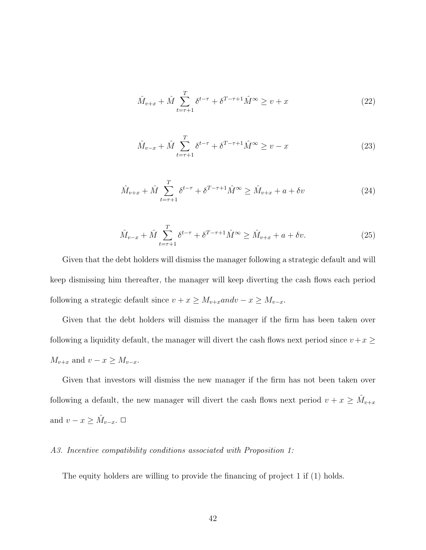$$
\hat{M}_{v+x} + \hat{M} \sum_{t=\tau+1}^{T} \delta^{t-\tau} + \delta^{T-\tau+1} \hat{M}^{\infty} \ge v+x \tag{22}
$$

$$
\hat{M}_{v-x} + \hat{M} \sum_{t=\tau+1}^{T} \delta^{t-\tau} + \delta^{T-\tau+1} \hat{M}^{\infty} \ge v - x \tag{23}
$$

$$
\hat{M}_{v+x} + \hat{M} \sum_{t=\tau+1}^{T} \delta^{t-\tau} + \delta^{T-\tau+1} \hat{M}^{\infty} \ge \hat{M}_{v+x} + a + \delta v \tag{24}
$$

$$
\hat{M}_{v-x} + \hat{M} \sum_{t=\tau+1}^{T} \delta^{t-\tau} + \delta^{T-\tau+1} \hat{M}^{\infty} \ge \hat{M}_{v+x} + a + \delta v.
$$
\n(25)

Given that the debt holders will dismiss the manager following a strategic default and will keep dismissing him thereafter, the manager will keep diverting the cash flows each period following a strategic default since  $v + x \ge M_{v+x}$ and $v - x \ge M_{v-x}$ .

Given that the debt holders will dismiss the manager if the firm has been taken over following a liquidity default, the manager will divert the cash flows next period since  $v + x \geq$  $M_{v+x}$  and  $v - x \ge M_{v-x}$ .

Given that investors will dismiss the new manager if the firm has not been taken over following a default, the new manager will divert the cash flows next period  $v + x \geq \hat{M}_{v+x}$ and  $v - x \geq \hat{M}_{v-x}$ .  $\Box$ 

### A3. Incentive compatibility conditions associated with Proposition 1:

The equity holders are willing to provide the financing of project  $1$  if  $(1)$  holds.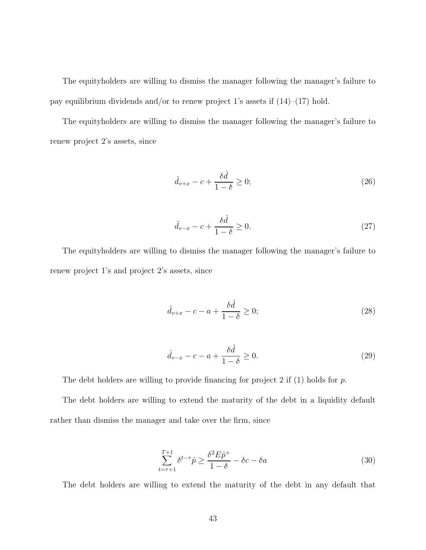The equityholders are willing to dismiss the manager following the manager's failure to pay equilibrium dividends and/or to renew project 1's assets if  $(14)-(17)$  hold.

The equityholders are willing to dismiss the manager following the manager's failure to renew project 2's assets, since

$$
\hat{d}_{v+x} - c + \frac{\delta \hat{d}}{1 - \delta} \ge 0; \tag{26}
$$

$$
\hat{d}_{v-x} - c + \frac{\delta \hat{d}}{1 - \delta} \ge 0.
$$
\n(27)

The equityholders are willing to dismiss the manager following the manager's failure to renew project 1's and project 2's assets, since

$$
\hat{d}_{v+x} - c - a + \frac{\delta \hat{d}}{1 - \delta} \ge 0; \tag{28}
$$

$$
\hat{d}_{v-x} - c - a + \frac{\delta \hat{d}}{1 - \delta} \ge 0.
$$
\n(29)

The debt holders are willing to provide financing for project 2 if  $(1)$  holds for p.

The debt holders are willing to extend the maturity of the debt in a liquidity default rather than dismiss the manager and take over the firm, since

$$
\sum_{t=\tau+1}^{T+1} \delta^{t-\tau} \hat{p} \ge \frac{\delta^2 E \hat{p}^+}{1-\delta} - \delta c - \delta a \tag{30}
$$

The debt holders are willing to extend the maturity of the debt in any default that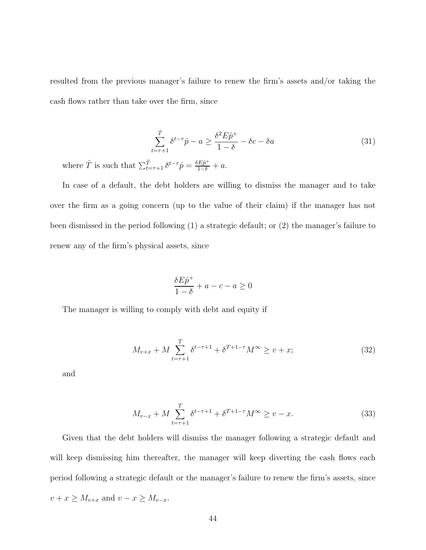resulted from the previous manager's failure to renew the firm's assets and/or taking the cash flows rather than take over the firm, since

$$
\sum_{t=\tau+1}^{\hat{T}} \delta^{t-\tau} \hat{p} - a \ge \frac{\delta^2 E \hat{p}^+}{1-\delta} - \delta c - \delta a \tag{31}
$$

where  $\hat{T}$  is such that  $\sum_{t=\tau+1}^{\hat{T}} \delta^{t-\tau} \hat{p} = \frac{\delta E \hat{p}^+}{1-\delta} + a$ .

In case of a default, the debt holders are willing to dismiss the manager and to take over the firm as a going concern (up to the value of their claim) if the manager has not been dismissed in the period following (1) a strategic default; or (2) the manager's failure to renew any of the firm's physical assets, since

$$
\frac{\delta E\hat{p}^+}{1-\delta} + a - c - a \ge 0
$$

The manager is willing to comply with debt and equity if

$$
M_{v+x} + M \sum_{t=\tau+1}^{T} \delta^{t-\tau+1} + \delta^{T+1-\tau} M^{\infty} \ge v+x;
$$
 (32)

and

$$
M_{v-x} + M \sum_{t=\tau+1}^{T} \delta^{t-\tau+1} + \delta^{T+1-\tau} M^{\infty} \ge v - x.
$$
 (33)

Given that the debt holders will dismiss the manager following a strategic default and will keep dismissing him thereafter, the manager will keep diverting the cash flows each period following a strategic default or the manager's failure to renew the firm's assets, since  $v + x \ge M_{v+x}$  and  $v - x \ge M_{v-x}$ .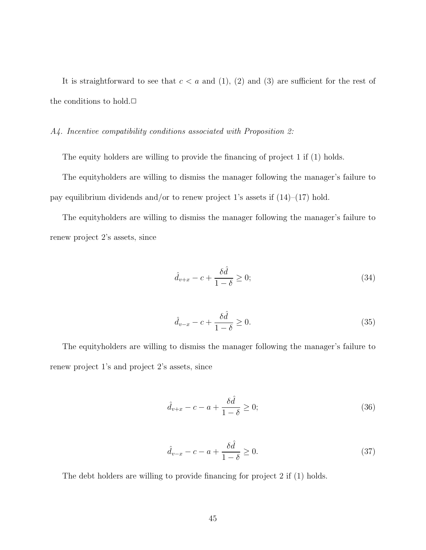It is straightforward to see that  $c < a$  and (1), (2) and (3) are sufficient for the rest of the conditions to hold. $\square$ 

### A4. Incentive compatibility conditions associated with Proposition 2:

The equity holders are willing to provide the financing of project 1 if  $(1)$  holds.

The equityholders are willing to dismiss the manager following the manager's failure to pay equilibrium dividends and/or to renew project 1's assets if  $(14)-(17)$  hold.

The equityholders are willing to dismiss the manager following the manager's failure to renew project 2's assets, since

$$
\hat{d}_{v+x} - c + \frac{\delta \hat{d}}{1 - \delta} \ge 0; \tag{34}
$$

$$
\hat{d}_{v-x} - c + \frac{\delta \hat{d}}{1 - \delta} \ge 0.
$$
\n(35)

The equityholders are willing to dismiss the manager following the manager's failure to renew project 1's and project 2's assets, since

$$
\hat{d}_{v+x} - c - a + \frac{\delta \hat{d}}{1 - \delta} \ge 0; \tag{36}
$$

$$
\hat{d}_{v-x} - c - a + \frac{\delta \hat{d}}{1 - \delta} \ge 0.
$$
\n(37)

The debt holders are willing to provide financing for project  $2$  if  $(1)$  holds.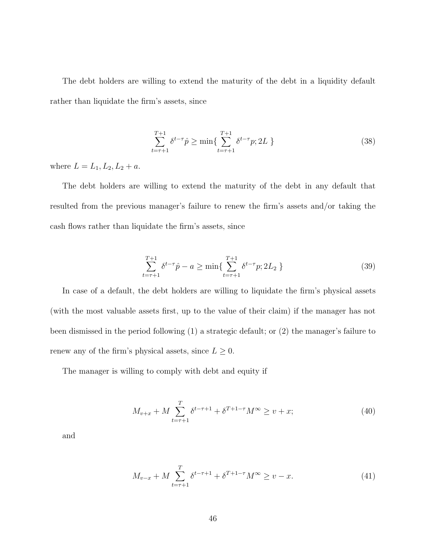The debt holders are willing to extend the maturity of the debt in a liquidity default rather than liquidate the firm's assets, since

$$
\sum_{t=\tau+1}^{T+1} \delta^{t-\tau} \hat{p} \ge \min\{\sum_{t=\tau+1}^{T+1} \delta^{t-\tau} p; 2L\}
$$
\n(38)

where  $L = L_1, L_2, L_2 + a$ .

The debt holders are willing to extend the maturity of the debt in any default that resulted from the previous manager's failure to renew the firm's assets and/or taking the cash flows rather than liquidate the firm's assets, since

$$
\sum_{t=\tau+1}^{T+1} \delta^{t-\tau} \hat{p} - a \ge \min\{\sum_{t=\tau+1}^{T+1} \delta^{t-\tau} p; 2L_2 \}
$$
\n(39)

In case of a default, the debt holders are willing to liquidate the firm's physical assets (with the most valuable assets first, up to the value of their claim) if the manager has not been dismissed in the period following (1) a strategic default; or (2) the manager's failure to renew any of the firm's physical assets, since  $L \geq 0$ .

The manager is willing to comply with debt and equity if

$$
M_{v+x} + M \sum_{t=\tau+1}^{T} \delta^{t-\tau+1} + \delta^{T+1-\tau} M^{\infty} \ge v+x;
$$
 (40)

and

$$
M_{v-x} + M \sum_{t=\tau+1}^{T} \delta^{t-\tau+1} + \delta^{T+1-\tau} M^{\infty} \ge v - x.
$$
 (41)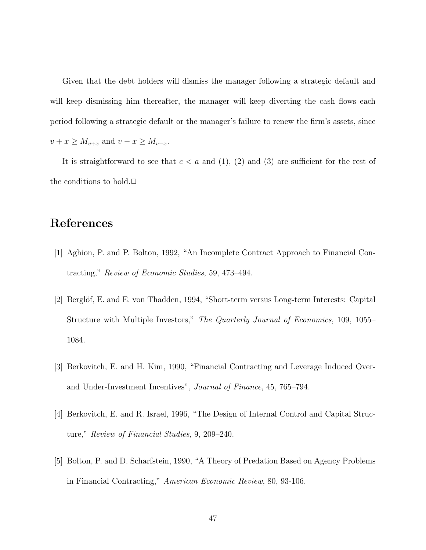Given that the debt holders will dismiss the manager following a strategic default and will keep dismissing him thereafter, the manager will keep diverting the cash flows each period following a strategic default or the manager's failure to renew the firm's assets, since  $v + x \ge M_{v+x}$  and  $v - x \ge M_{v-x}$ .

It is straightforward to see that  $c < a$  and (1), (2) and (3) are sufficient for the rest of the conditions to hold. $\square$ 

# References

- [1] Aghion, P. and P. Bolton, 1992, "An Incomplete Contract Approach to Financial Contracting," Review of Economic Studies, 59, 473-494.
- [2] Berglöf, E. and E. von Thadden, 1994, "Short-term versus Long-term Interests: Capital Structure with Multiple Investors," The Quarterly Journal of Economics, 109, 1055– 1084.
- [3] Berkovitch, E. and H. Kim, 1990, "Financial Contracting and Leverage Induced Overand Under-Investment Incentives", Journal of Finance, 45, 765-794.
- [4] Berkovitch, E. and R. Israel, 1996, "The Design of Internal Control and Capital Structure," Review of Financial Studies,  $9, 209-240$ .
- [5] Bolton, P. and D. Scharfstein, 1990, \A Theory of Predation Based on Agency Problems in Financial Contracting," American Economic Review, 80, 93-106.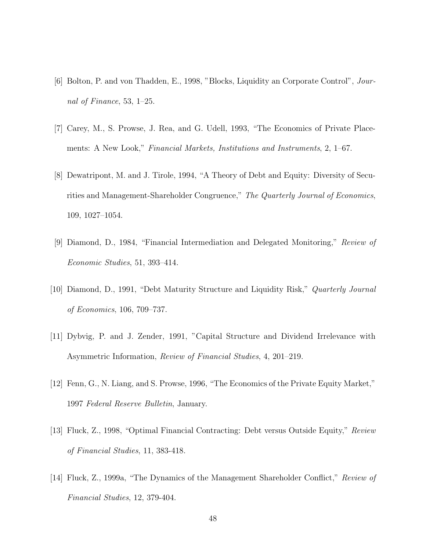- [6] Bolton, P. and von Thadden, E., 1998, "Blocks, Liquidity an Corporate Control", Journal of Finance, 53,  $1-25$ .
- [7] Carey, M., S. Prowse, J. Rea, and G. Udell, 1993, "The Economics of Private Placements: A New Look," Financial Markets, Institutions and Instruments, 2, 1–67.
- [8] Dewatripont, M. and J. Tirole, 1994, \A Theory of Debt and Equity: Diversity of Securities and Management-Shareholder Congruence," The Quarterly Journal of Economics,  $109, 1027 - 1054.$
- [9] Diamond, D., 1984, \Financial Intermediation and Delegated Monitoring," Review of  $Economic Studies, 51, 393–414.$
- [10] Diamond, D., 1991, "Debt Maturity Structure and Liquidity Risk," *Quarterly Journal* of Economics,  $106, 709-737$ .
- [11] Dybvig, P. and J. Zender, 1991, "Capital Structure and Dividend Irrelevance with Asymmetric Information, Review of Financial Studies, 4, 201-219.
- [12] Fenn, G., N. Liang, and S. Prowse, 1996, "The Economics of the Private Equity Market," 1997 Federal Reserve Bulletin, January.
- [13] Fluck, Z., 1998, "Optimal Financial Contracting: Debt versus Outside Equity," Review of Financial Studies, 11, 383-418.
- [14] Fluck, Z., 1999a, "The Dynamics of the Management Shareholder Conflict," Review of Financial Studies, 12, 379-404.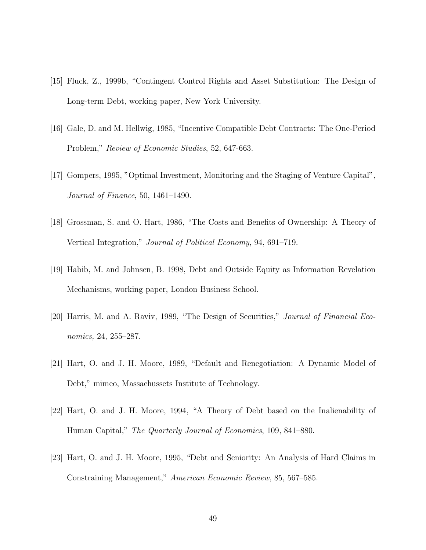- [15] Fluck, Z., 1999b, \Contingent Control Rights and Asset Substitution: The Design of Long-term Debt, working paper, New York University.
- [16] Gale, D. and M. Hellwig, 1985, \Incentive Compatible Debt Contracts: The One-Period Problem," Review of Economic Studies, 52, 647-663.
- [17] Gompers, 1995, "Optimal Investment, Monitoring and the Staging of Venture Capital", Journal of Finance, 50,  $1461-1490$ .
- [18] Grossman, S. and O. Hart, 1986, "The Costs and Benefits of Ownership: A Theory of Vertical Integration," Journal of Political Economy, 94, 691–719.
- [19] Habib, M. and Johnsen, B. 1998, Debt and Outside Equity as Information Revelation Mechanisms, working paper, London Business School.
- [20] Harris, M. and A. Raviv, 1989, "The Design of Securities," Journal of Financial Economics, 24, 255–287.
- [21] Hart, O. and J. H. Moore, 1989, "Default and Renegotiation: A Dynamic Model of Debt," mimeo, Massachussets Institute of Technology.
- [22] Hart, O. and J. H. Moore, 1994, \A Theory of Debt based on the Inalienability of Human Capital," The Quarterly Journal of Economics, 109, 841–880.
- [23] Hart, O. and J. H. Moore, 1995, "Debt and Seniority: An Analysis of Hard Claims in Constraining Management," American Economic Review, 85, 567–585.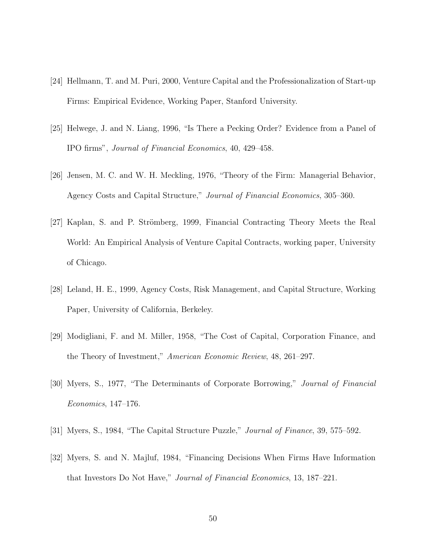- [24] Hellmann, T. and M. Puri, 2000, Venture Capital and the Professionalization of Start-up Firms: Empirical Evidence, Working Paper, Stanford University.
- [25] Helwege, J. and N. Liang, 1996, \Is There a Pecking Order? Evidence from a Panel of IPO firms", Journal of Financial Economics, 40, 429–458.
- [26] Jensen, M. C. and W. H. Meckling, 1976, \Theory of the Firm: Managerial Behavior, Agency Costs and Capital Structure," Journal of Financial Economics, 305-360.
- [27] Kaplan, S. and P. Strömberg, 1999, Financial Contracting Theory Meets the Real World: An Empirical Analysis of Venture Capital Contracts, working paper, University of Chicago.
- [28] Leland, H. E., 1999, Agency Costs, Risk Management, and Capital Structure, Working Paper, University of California, Berkeley.
- [29] Modigliani, F. and M. Miller, 1958, "The Cost of Capital, Corporation Finance, and the Theory of Investment," American Economic Review, 48, 261-297.
- [30] Myers, S., 1977, \The Determinants of Corporate Borrowing," Journal of Financial  $Economics, 147–176.$
- [31] Myers, S., 1984, "The Capital Structure Puzzle," *Journal of Finance*, 39, 575–592.
- [32] Myers, S. and N. Majluf, 1984, \Financing Decisions When Firms Have Information that Investors Do Not Have," Journal of Financial Economics,  $13, 187{-}221$ .